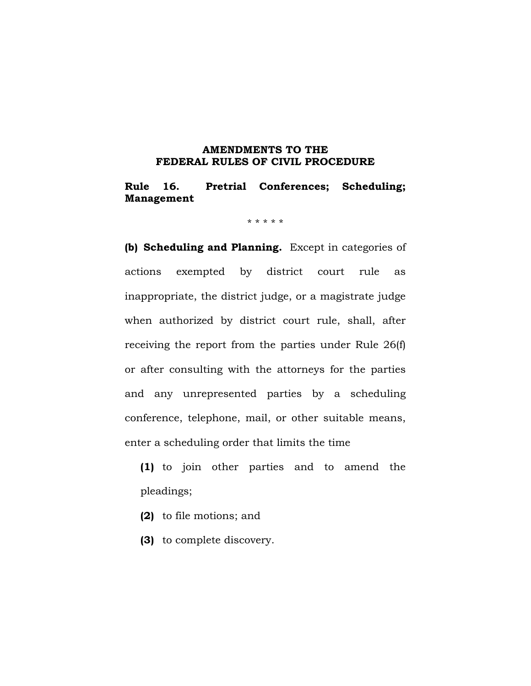# **AMENDMENTS TO THE FEDERAL RULES OF CIVIL PROCEDURE**

# **Rule 16. Pretrial Conferences; Scheduling; Management**

\* \* \* \* \*

**(b) Scheduling and Planning.** Except in categories of actions exempted by district court rule as inappropriate, the district judge, or a magistrate judge when authorized by district court rule, shall, after receiving the report from the parties under Rule 26(f) or after consulting with the attorneys for the parties and any unrepresented parties by a scheduling conference, telephone, mail, or other suitable means, enter a scheduling order that limits the time

**(1)** to join other parties and to amend the pleadings;

- **(2)** to file motions; and
- **(3)** to complete discovery.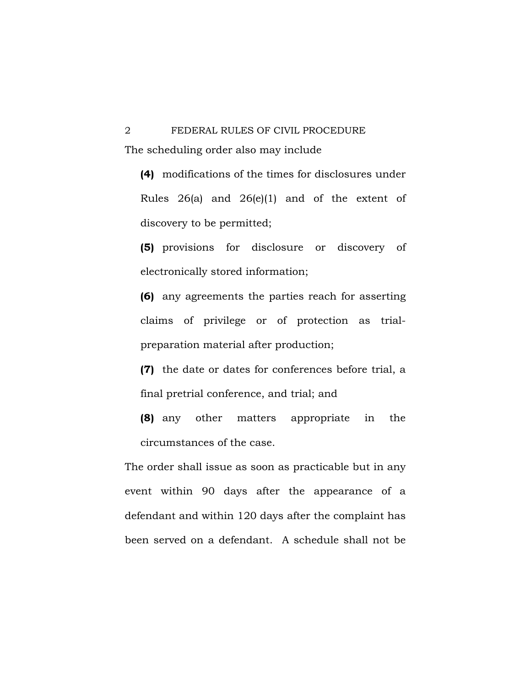# 2 FEDERAL RULES OF CIVIL PROCEDURE The scheduling order also may include

**(4)** modifications of the times for disclosures under Rules 26(a) and 26(e)(1) and of the extent of discovery to be permitted;

**(5)** provisions for disclosure or discovery of electronically stored information;

**(6)** any agreements the parties reach for asserting claims of privilege or of protection as trialpreparation material after production;

**(7)** the date or dates for conferences before trial, a final pretrial conference, and trial; and

**(8)** any other matters appropriate in the circumstances of the case.

The order shall issue as soon as practicable but in any event within 90 days after the appearance of a defendant and within 120 days after the complaint has been served on a defendant. A schedule shall not be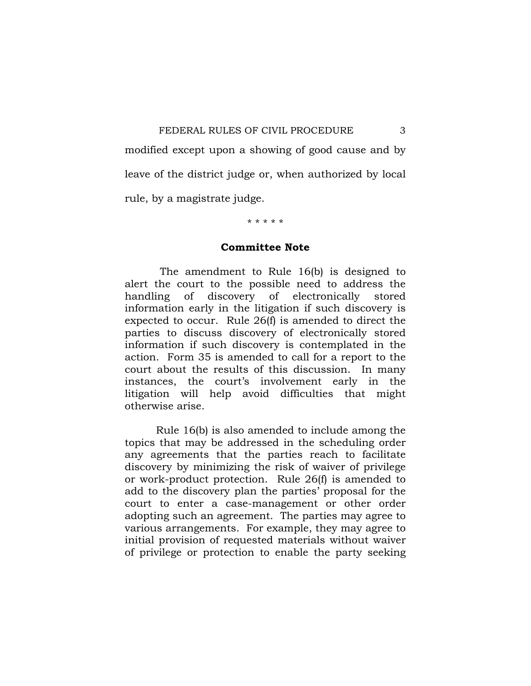modified except upon a showing of good cause and by leave of the district judge or, when authorized by local rule, by a magistrate judge.

#### \* \* \* \* \*

#### **Committee Note**

 The amendment to Rule 16(b) is designed to alert the court to the possible need to address the handling of discovery of electronically stored information early in the litigation if such discovery is expected to occur. Rule 26(f) is amended to direct the parties to discuss discovery of electronically stored information if such discovery is contemplated in the action. Form 35 is amended to call for a report to the court about the results of this discussion. In many instances, the court's involvement early in the litigation will help avoid difficulties that might otherwise arise.

 Rule 16(b) is also amended to include among the topics that may be addressed in the scheduling order any agreements that the parties reach to facilitate discovery by minimizing the risk of waiver of privilege or work-product protection. Rule 26(f) is amended to add to the discovery plan the parties' proposal for the court to enter a case-management or other order adopting such an agreement. The parties may agree to various arrangements. For example, they may agree to initial provision of requested materials without waiver of privilege or protection to enable the party seeking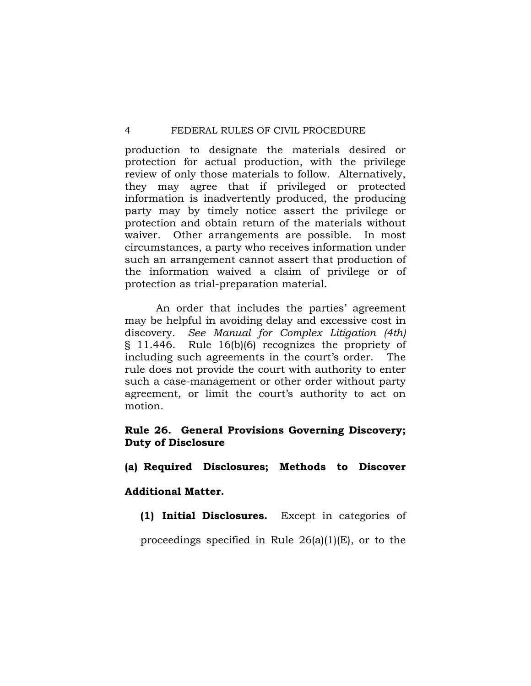production to designate the materials desired or protection for actual production, with the privilege review of only those materials to follow. Alternatively, they may agree that if privileged or protected information is inadvertently produced, the producing party may by timely notice assert the privilege or protection and obtain return of the materials without waiver. Other arrangements are possible. In most circumstances, a party who receives information under such an arrangement cannot assert that production of the information waived a claim of privilege or of protection as trial-preparation material.

 An order that includes the parties' agreement may be helpful in avoiding delay and excessive cost in discovery. *See Manual for Complex Litigation (4th)* § 11.446. Rule 16(b)(6) recognizes the propriety of including such agreements in the court's order. The rule does not provide the court with authority to enter such a case-management or other order without party agreement, or limit the court's authority to act on motion.

# **Rule 26. General Provisions Governing Discovery; Duty of Disclosure**

# **(a) Required Disclosures; Methods to Discover**

# **Additional Matter.**

**(1) Initial Disclosures.** Except in categories of

proceedings specified in Rule  $26(a)(1)(E)$ , or to the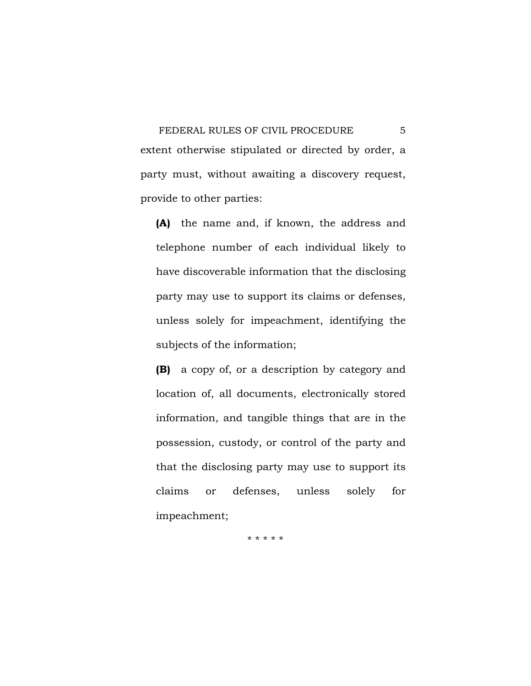FEDERAL RULES OF CIVIL PROCEDURE 5 extent otherwise stipulated or directed by order, a party must, without awaiting a discovery request, provide to other parties:

**(A)** the name and, if known, the address and telephone number of each individual likely to have discoverable information that the disclosing party may use to support its claims or defenses, unless solely for impeachment, identifying the subjects of the information;

**(B)** a copy of, or a description by category and location of, all documents, electronically stored information, and tangible things that are in the possession, custody, or control of the party and that the disclosing party may use to support its claims or defenses, unless solely for impeachment;

\* \* \* \* \*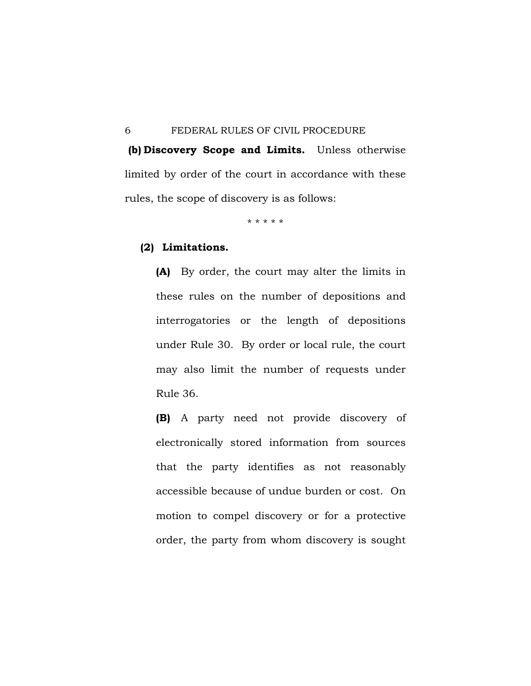**(b) Discovery Scope and Limits.** Unless otherwise limited by order of the court in accordance with these rules, the scope of discovery is as follows:

\* \* \* \* \*

## **(2) Limitations.**

**(A)** By order, the court may alter the limits in these rules on the number of depositions and interrogatories or the length of depositions under Rule 30. By order or local rule, the court may also limit the number of requests under Rule 36.

**(B)** A party need not provide discovery of electronically stored information from sources that the party identifies as not reasonably accessible because of undue burden or cost. On motion to compel discovery or for a protective order, the party from whom discovery is sought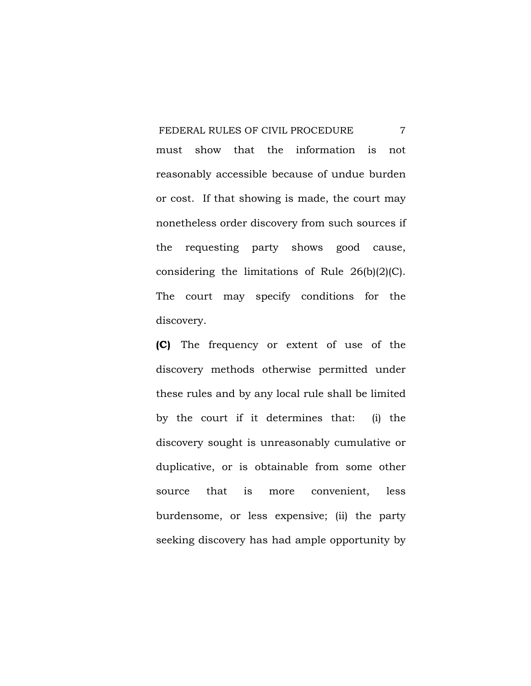must show that the information is not reasonably accessible because of undue burden or cost. If that showing is made, the court may nonetheless order discovery from such sources if the requesting party shows good cause, considering the limitations of Rule 26(b)(2)(C). The court may specify conditions for the discovery.

**(C)** The frequency or extent of use of the discovery methods otherwise permitted under these rules and by any local rule shall be limited by the court if it determines that: (i) the discovery sought is unreasonably cumulative or duplicative, or is obtainable from some other source that is more convenient, less burdensome, or less expensive; (ii) the party seeking discovery has had ample opportunity by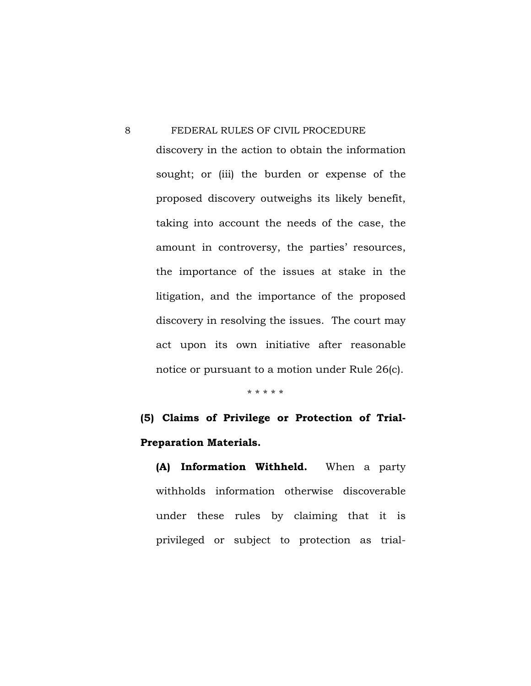discovery in the action to obtain the information sought; or (iii) the burden or expense of the proposed discovery outweighs its likely benefit, taking into account the needs of the case, the amount in controversy, the parties' resources, the importance of the issues at stake in the litigation, and the importance of the proposed discovery in resolving the issues. The court may act upon its own initiative after reasonable notice or pursuant to a motion under Rule 26(c).

\* \* \* \* \*

# **(5) Claims of Privilege or Protection of Trial-Preparation Materials.**

**(A) Information Withheld.** When a party withholds information otherwise discoverable under these rules by claiming that it is privileged or subject to protection as trial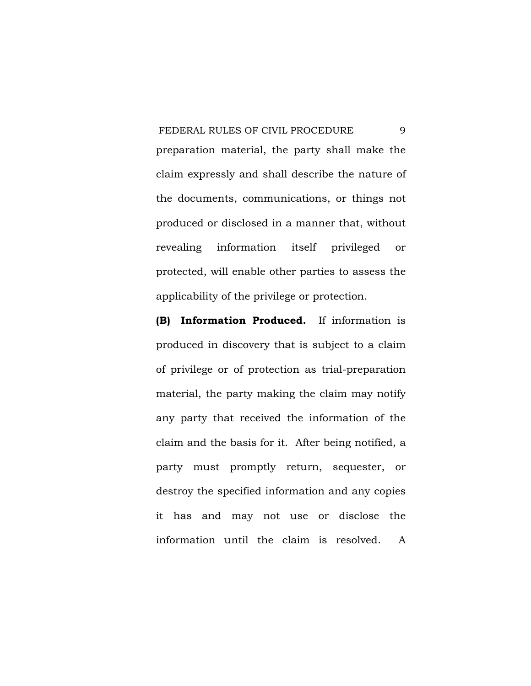preparation material, the party shall make the claim expressly and shall describe the nature of the documents, communications, or things not produced or disclosed in a manner that, without revealing information itself privileged or protected, will enable other parties to assess the applicability of the privilege or protection.

**(B) Information Produced.** If information is produced in discovery that is subject to a claim of privilege or of protection as trial-preparation material, the party making the claim may notify any party that received the information of the claim and the basis for it. After being notified, a party must promptly return, sequester, or destroy the specified information and any copies it has and may not use or disclose the information until the claim is resolved. A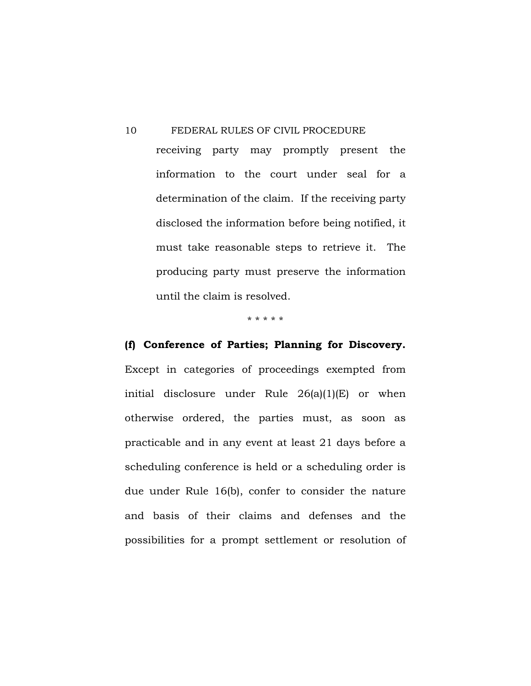10 FEDERAL RULES OF CIVIL PROCEDURE receiving party may promptly present the information to the court under seal for a determination of the claim. If the receiving party disclosed the information before being notified, it must take reasonable steps to retrieve it. The producing party must preserve the information until the claim is resolved.

\* \* \* \* \*

# **(f) Conference of Parties; Planning for Discovery.**

Except in categories of proceedings exempted from initial disclosure under Rule 26(a)(1)(E) or when otherwise ordered, the parties must, as soon as practicable and in any event at least 21 days before a scheduling conference is held or a scheduling order is due under Rule 16(b), confer to consider the nature and basis of their claims and defenses and the possibilities for a prompt settlement or resolution of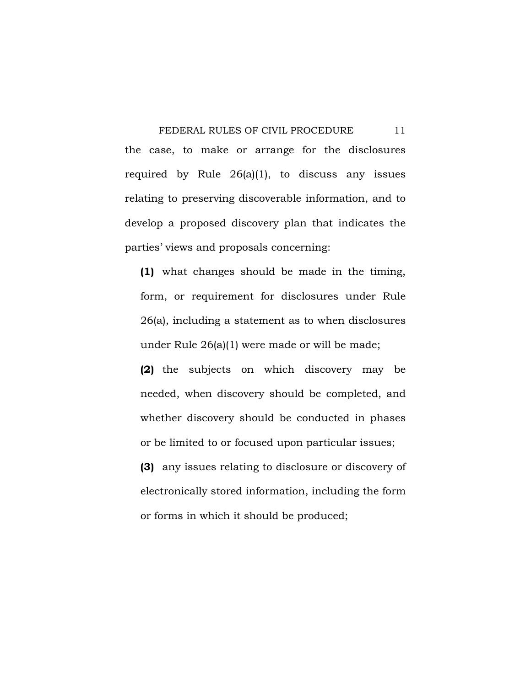FEDERAL RULES OF CIVIL PROCEDURE 11 the case, to make or arrange for the disclosures required by Rule 26(a)(1), to discuss any issues relating to preserving discoverable information, and to develop a proposed discovery plan that indicates the parties' views and proposals concerning:

**(1)** what changes should be made in the timing, form, or requirement for disclosures under Rule 26(a), including a statement as to when disclosures under Rule 26(a)(1) were made or will be made;

**(2)** the subjects on which discovery may be needed, when discovery should be completed, and whether discovery should be conducted in phases or be limited to or focused upon particular issues;

**(3)** any issues relating to disclosure or discovery of electronically stored information, including the form or forms in which it should be produced;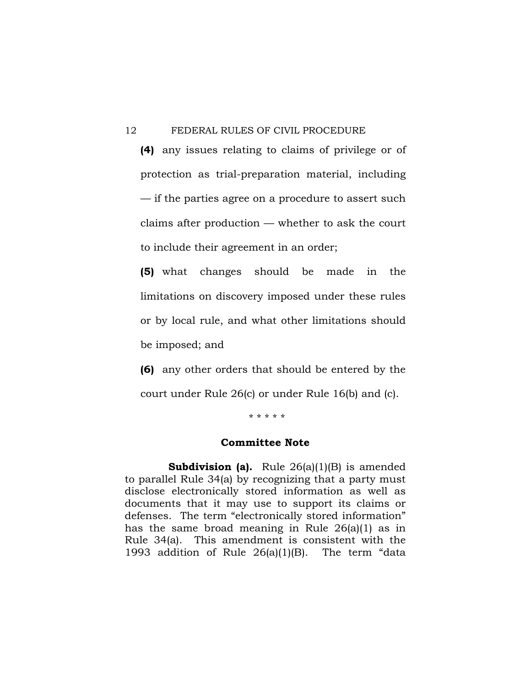**(4)** any issues relating to claims of privilege or of protection as trial-preparation material, including — if the parties agree on a procedure to assert such claims after production — whether to ask the court to include their agreement in an order;

**(5)** what changes should be made in the limitations on discovery imposed under these rules or by local rule, and what other limitations should be imposed; and

**(6)** any other orders that should be entered by the court under Rule 26(c) or under Rule 16(b) and (c).

\* \* \* \* \*

# **Committee Note**

**Subdivision (a).** Rule 26(a)(1)(B) is amended to parallel Rule 34(a) by recognizing that a party must disclose electronically stored information as well as documents that it may use to support its claims or defenses. The term "electronically stored information" has the same broad meaning in Rule 26(a)(1) as in Rule 34(a). This amendment is consistent with the 1993 addition of Rule 26(a)(1)(B). The term "data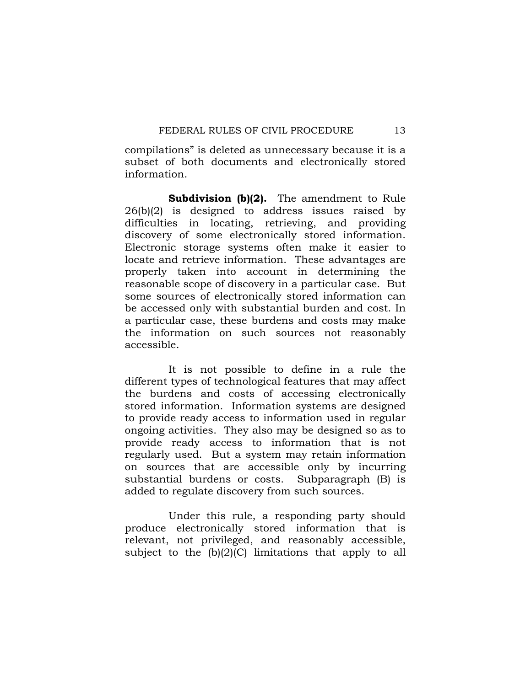compilations" is deleted as unnecessary because it is a subset of both documents and electronically stored information.

 **Subdivision (b)(2).** The amendment to Rule 26(b)(2) is designed to address issues raised by difficulties in locating, retrieving, and providing discovery of some electronically stored information. Electronic storage systems often make it easier to locate and retrieve information. These advantages are properly taken into account in determining the reasonable scope of discovery in a particular case. But some sources of electronically stored information can be accessed only with substantial burden and cost. In a particular case, these burdens and costs may make the information on such sources not reasonably accessible.

 It is not possible to define in a rule the different types of technological features that may affect the burdens and costs of accessing electronically stored information. Information systems are designed to provide ready access to information used in regular ongoing activities. They also may be designed so as to provide ready access to information that is not regularly used. But a system may retain information on sources that are accessible only by incurring substantial burdens or costs. Subparagraph (B) is added to regulate discovery from such sources.

 Under this rule, a responding party should produce electronically stored information that is relevant, not privileged, and reasonably accessible, subject to the  $(b)(2)(C)$  limitations that apply to all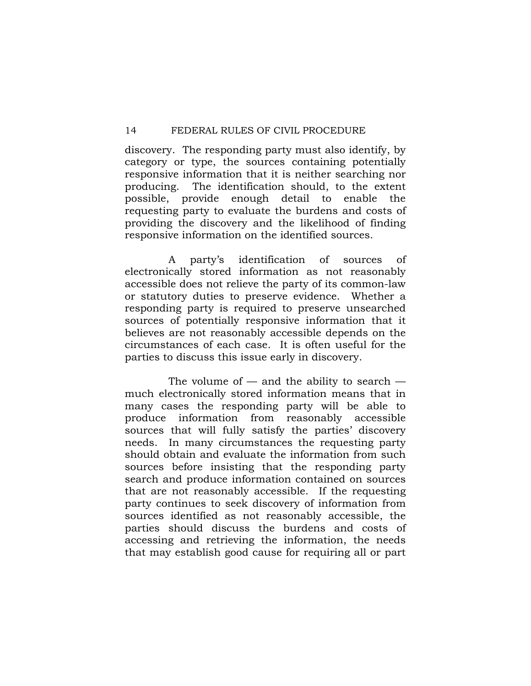discovery. The responding party must also identify, by category or type, the sources containing potentially responsive information that it is neither searching nor producing. The identification should, to the extent possible, provide enough detail to enable the requesting party to evaluate the burdens and costs of providing the discovery and the likelihood of finding responsive information on the identified sources.

 A party's identification of sources of electronically stored information as not reasonably accessible does not relieve the party of its common-law or statutory duties to preserve evidence. Whether a responding party is required to preserve unsearched sources of potentially responsive information that it believes are not reasonably accessible depends on the circumstances of each case. It is often useful for the parties to discuss this issue early in discovery.

The volume of  $-$  and the ability to search  $$ much electronically stored information means that in many cases the responding party will be able to produce information from reasonably accessible sources that will fully satisfy the parties' discovery needs. In many circumstances the requesting party should obtain and evaluate the information from such sources before insisting that the responding party search and produce information contained on sources that are not reasonably accessible. If the requesting party continues to seek discovery of information from sources identified as not reasonably accessible, the parties should discuss the burdens and costs of accessing and retrieving the information, the needs that may establish good cause for requiring all or part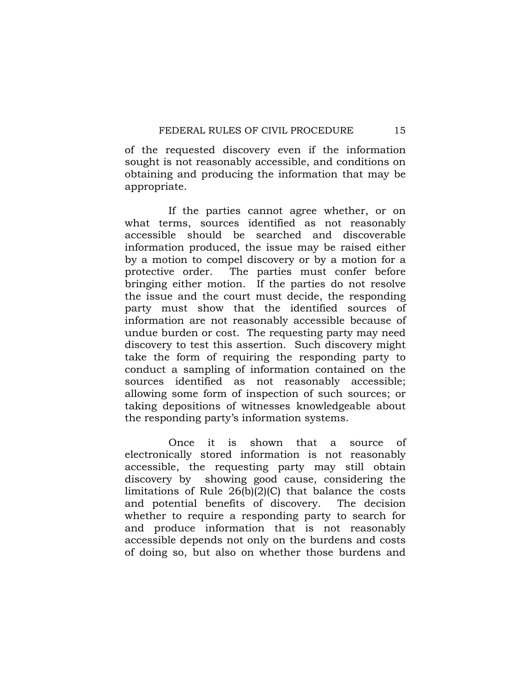of the requested discovery even if the information sought is not reasonably accessible, and conditions on obtaining and producing the information that may be appropriate.

 If the parties cannot agree whether, or on what terms, sources identified as not reasonably accessible should be searched and discoverable information produced, the issue may be raised either by a motion to compel discovery or by a motion for a protective order. The parties must confer before bringing either motion. If the parties do not resolve the issue and the court must decide, the responding party must show that the identified sources of information are not reasonably accessible because of undue burden or cost. The requesting party may need discovery to test this assertion. Such discovery might take the form of requiring the responding party to conduct a sampling of information contained on the sources identified as not reasonably accessible; allowing some form of inspection of such sources; or taking depositions of witnesses knowledgeable about the responding party's information systems.

 Once it is shown that a source of electronically stored information is not reasonably accessible, the requesting party may still obtain discovery by showing good cause, considering the limitations of Rule 26(b)(2)(C) that balance the costs and potential benefits of discovery. The decision whether to require a responding party to search for and produce information that is not reasonably accessible depends not only on the burdens and costs of doing so, but also on whether those burdens and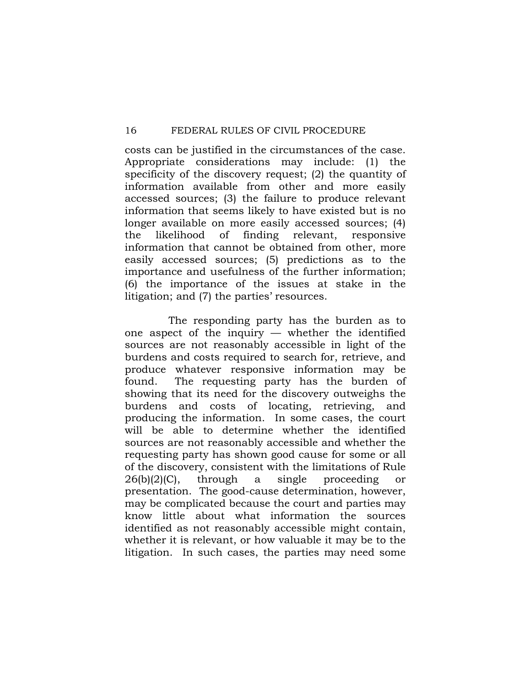costs can be justified in the circumstances of the case. Appropriate considerations may include: (1) the specificity of the discovery request; (2) the quantity of information available from other and more easily accessed sources; (3) the failure to produce relevant information that seems likely to have existed but is no longer available on more easily accessed sources; (4) the likelihood of finding relevant, responsive information that cannot be obtained from other, more easily accessed sources; (5) predictions as to the importance and usefulness of the further information; (6) the importance of the issues at stake in the litigation; and (7) the parties' resources.

 The responding party has the burden as to one aspect of the inquiry — whether the identified sources are not reasonably accessible in light of the burdens and costs required to search for, retrieve, and produce whatever responsive information may be found. The requesting party has the burden of showing that its need for the discovery outweighs the burdens and costs of locating, retrieving, and producing the information. In some cases, the court will be able to determine whether the identified sources are not reasonably accessible and whether the requesting party has shown good cause for some or all of the discovery, consistent with the limitations of Rule 26(b)(2)(C), through a single proceeding or presentation. The good-cause determination, however, may be complicated because the court and parties may know little about what information the sources identified as not reasonably accessible might contain, whether it is relevant, or how valuable it may be to the litigation. In such cases, the parties may need some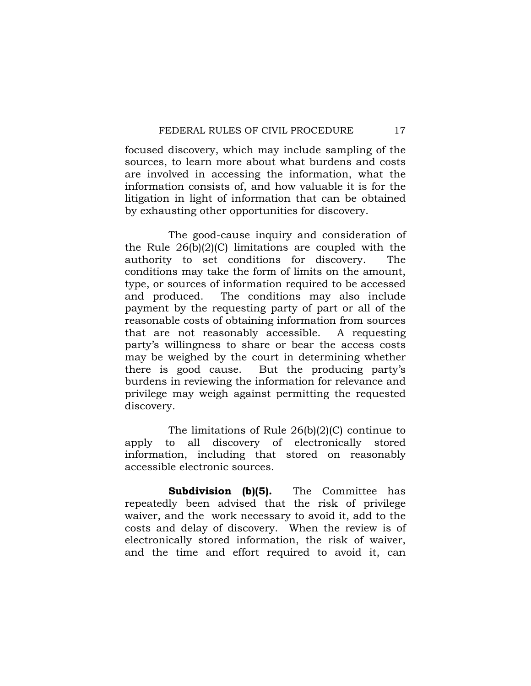focused discovery, which may include sampling of the sources, to learn more about what burdens and costs are involved in accessing the information, what the information consists of, and how valuable it is for the litigation in light of information that can be obtained by exhausting other opportunities for discovery.

 The good-cause inquiry and consideration of the Rule 26(b)(2)(C) limitations are coupled with the authority to set conditions for discovery. The conditions may take the form of limits on the amount, type, or sources of information required to be accessed and produced. The conditions may also include payment by the requesting party of part or all of the reasonable costs of obtaining information from sources that are not reasonably accessible. A requesting party's willingness to share or bear the access costs may be weighed by the court in determining whether there is good cause. But the producing party's burdens in reviewing the information for relevance and privilege may weigh against permitting the requested discovery.

 The limitations of Rule 26(b)(2)(C) continue to apply to all discovery of electronically stored information, including that stored on reasonably accessible electronic sources.

**Subdivision (b)(5).** The Committee has repeatedly been advised that the risk of privilege waiver, and the work necessary to avoid it, add to the costs and delay of discovery. When the review is of electronically stored information, the risk of waiver, and the time and effort required to avoid it, can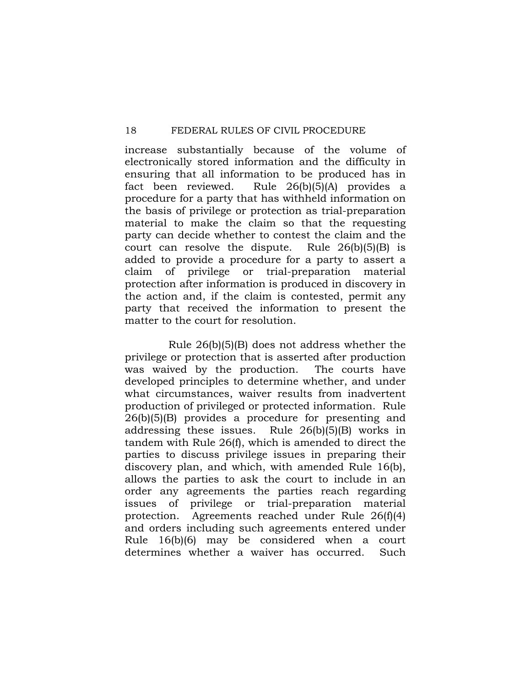increase substantially because of the volume of electronically stored information and the difficulty in ensuring that all information to be produced has in fact been reviewed. Rule 26(b)(5)(A) provides a procedure for a party that has withheld information on the basis of privilege or protection as trial-preparation material to make the claim so that the requesting party can decide whether to contest the claim and the court can resolve the dispute. Rule 26(b)(5)(B) is added to provide a procedure for a party to assert a claim of privilege or trial-preparation material protection after information is produced in discovery in the action and, if the claim is contested, permit any party that received the information to present the matter to the court for resolution.

 Rule 26(b)(5)(B) does not address whether the privilege or protection that is asserted after production was waived by the production. The courts have developed principles to determine whether, and under what circumstances, waiver results from inadvertent production of privileged or protected information. Rule 26(b)(5)(B) provides a procedure for presenting and addressing these issues. Rule 26(b)(5)(B) works in tandem with Rule 26(f), which is amended to direct the parties to discuss privilege issues in preparing their discovery plan, and which, with amended Rule 16(b), allows the parties to ask the court to include in an order any agreements the parties reach regarding issues of privilege or trial-preparation material protection. Agreements reached under Rule 26(f)(4) and orders including such agreements entered under Rule 16(b)(6) may be considered when a court determines whether a waiver has occurred. Such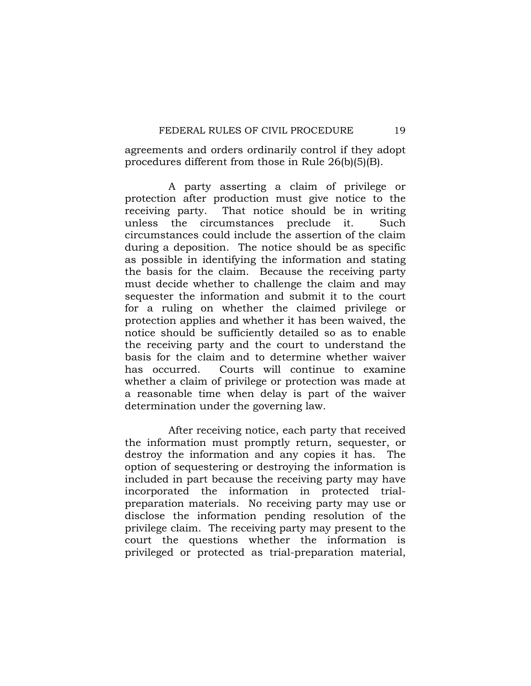agreements and orders ordinarily control if they adopt procedures different from those in Rule 26(b)(5)(B).

 A party asserting a claim of privilege or protection after production must give notice to the receiving party. That notice should be in writing unless the circumstances preclude it. Such circumstances could include the assertion of the claim during a deposition. The notice should be as specific as possible in identifying the information and stating the basis for the claim. Because the receiving party must decide whether to challenge the claim and may sequester the information and submit it to the court for a ruling on whether the claimed privilege or protection applies and whether it has been waived, the notice should be sufficiently detailed so as to enable the receiving party and the court to understand the basis for the claim and to determine whether waiver has occurred. Courts will continue to examine whether a claim of privilege or protection was made at a reasonable time when delay is part of the waiver determination under the governing law.

 After receiving notice, each party that received the information must promptly return, sequester, or destroy the information and any copies it has. The option of sequestering or destroying the information is included in part because the receiving party may have incorporated the information in protected trialpreparation materials. No receiving party may use or disclose the information pending resolution of the privilege claim. The receiving party may present to the court the questions whether the information is privileged or protected as trial-preparation material,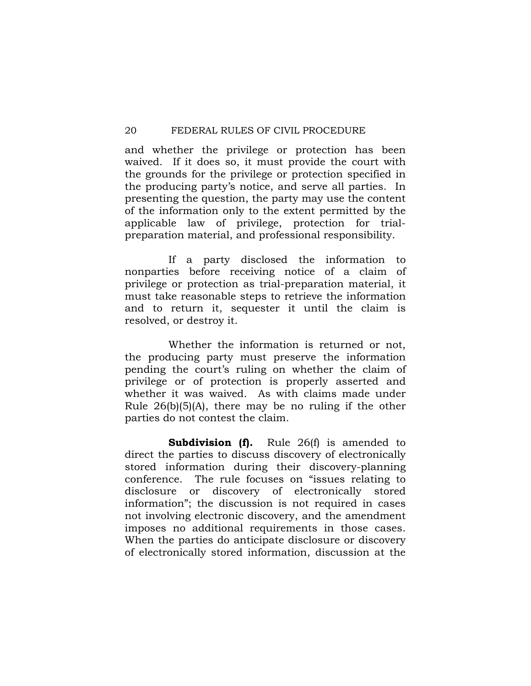and whether the privilege or protection has been waived. If it does so, it must provide the court with the grounds for the privilege or protection specified in the producing party's notice, and serve all parties. In presenting the question, the party may use the content of the information only to the extent permitted by the applicable law of privilege, protection for trialpreparation material, and professional responsibility.

 If a party disclosed the information to nonparties before receiving notice of a claim of privilege or protection as trial-preparation material, it must take reasonable steps to retrieve the information and to return it, sequester it until the claim is resolved, or destroy it.

Whether the information is returned or not. the producing party must preserve the information pending the court's ruling on whether the claim of privilege or of protection is properly asserted and whether it was waived. As with claims made under Rule 26(b)(5)(A), there may be no ruling if the other parties do not contest the claim.

**Subdivision (f).** Rule 26(f) is amended to direct the parties to discuss discovery of electronically stored information during their discovery-planning conference. The rule focuses on "issues relating to disclosure or discovery of electronically stored information"; the discussion is not required in cases not involving electronic discovery, and the amendment imposes no additional requirements in those cases. When the parties do anticipate disclosure or discovery of electronically stored information, discussion at the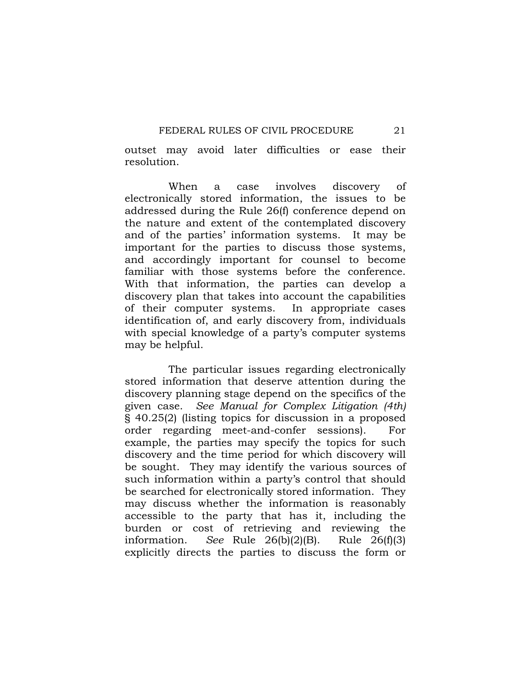outset may avoid later difficulties or ease their resolution.

 When a case involves discovery of electronically stored information, the issues to be addressed during the Rule 26(f) conference depend on the nature and extent of the contemplated discovery and of the parties' information systems. It may be important for the parties to discuss those systems, and accordingly important for counsel to become familiar with those systems before the conference. With that information, the parties can develop a discovery plan that takes into account the capabilities of their computer systems. In appropriate cases identification of, and early discovery from, individuals with special knowledge of a party's computer systems may be helpful.

 The particular issues regarding electronically stored information that deserve attention during the discovery planning stage depend on the specifics of the given case. *See Manual for Complex Litigation (4th)* § 40.25(2) (listing topics for discussion in a proposed order regarding meet-and-confer sessions). For example, the parties may specify the topics for such discovery and the time period for which discovery will be sought. They may identify the various sources of such information within a party's control that should be searched for electronically stored information. They may discuss whether the information is reasonably accessible to the party that has it, including the burden or cost of retrieving and reviewing the information. *See* Rule 26(b)(2)(B). Rule 26(f)(3) explicitly directs the parties to discuss the form or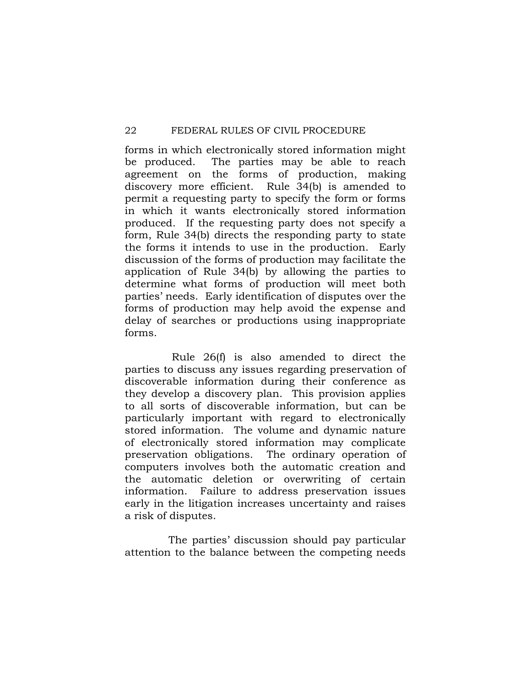forms in which electronically stored information might be produced. The parties may be able to reach agreement on the forms of production, making discovery more efficient. Rule 34(b) is amended to permit a requesting party to specify the form or forms in which it wants electronically stored information produced. If the requesting party does not specify a form, Rule 34(b) directs the responding party to state the forms it intends to use in the production. Early discussion of the forms of production may facilitate the application of Rule 34(b) by allowing the parties to determine what forms of production will meet both parties' needs. Early identification of disputes over the forms of production may help avoid the expense and delay of searches or productions using inappropriate forms.

 Rule 26(f) is also amended to direct the parties to discuss any issues regarding preservation of discoverable information during their conference as they develop a discovery plan. This provision applies to all sorts of discoverable information, but can be particularly important with regard to electronically stored information. The volume and dynamic nature of electronically stored information may complicate preservation obligations. The ordinary operation of computers involves both the automatic creation and the automatic deletion or overwriting of certain information. Failure to address preservation issues early in the litigation increases uncertainty and raises a risk of disputes.

 The parties' discussion should pay particular attention to the balance between the competing needs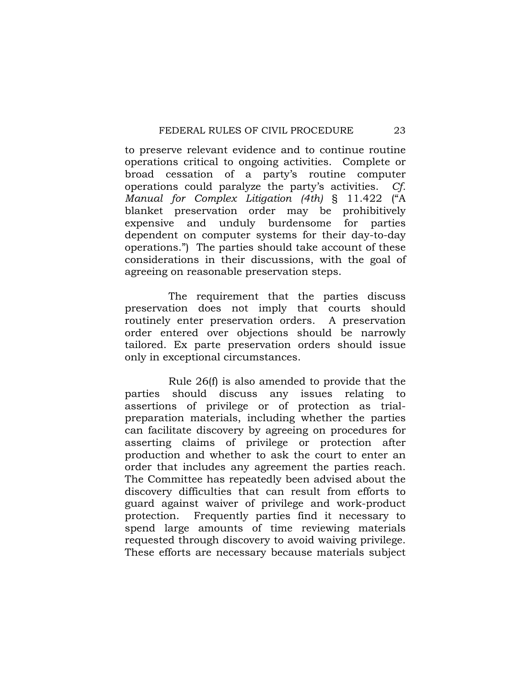to preserve relevant evidence and to continue routine operations critical to ongoing activities. Complete or broad cessation of a party's routine computer operations could paralyze the party's activities. *Cf. Manual for Complex Litigation (4th)* § 11.422 ("A blanket preservation order may be prohibitively expensive and unduly burdensome for parties dependent on computer systems for their day-to-day operations.") The parties should take account of these considerations in their discussions, with the goal of agreeing on reasonable preservation steps.

 The requirement that the parties discuss preservation does not imply that courts should routinely enter preservation orders. A preservation order entered over objections should be narrowly tailored. Ex parte preservation orders should issue only in exceptional circumstances.

 Rule 26(f) is also amended to provide that the parties should discuss any issues relating to assertions of privilege or of protection as trialpreparation materials, including whether the parties can facilitate discovery by agreeing on procedures for asserting claims of privilege or protection after production and whether to ask the court to enter an order that includes any agreement the parties reach. The Committee has repeatedly been advised about the discovery difficulties that can result from efforts to guard against waiver of privilege and work-product protection. Frequently parties find it necessary to spend large amounts of time reviewing materials requested through discovery to avoid waiving privilege. These efforts are necessary because materials subject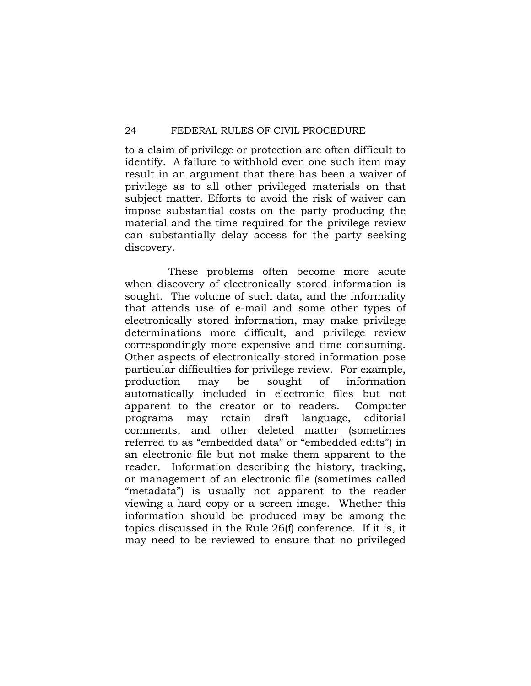to a claim of privilege or protection are often difficult to identify. A failure to withhold even one such item may result in an argument that there has been a waiver of privilege as to all other privileged materials on that subject matter. Efforts to avoid the risk of waiver can impose substantial costs on the party producing the material and the time required for the privilege review can substantially delay access for the party seeking discovery.

 These problems often become more acute when discovery of electronically stored information is sought. The volume of such data, and the informality that attends use of e-mail and some other types of electronically stored information, may make privilege determinations more difficult, and privilege review correspondingly more expensive and time consuming. Other aspects of electronically stored information pose particular difficulties for privilege review. For example, production may be sought of information automatically included in electronic files but not apparent to the creator or to readers. Computer programs may retain draft language, editorial comments, and other deleted matter (sometimes referred to as "embedded data" or "embedded edits") in an electronic file but not make them apparent to the reader. Information describing the history, tracking, or management of an electronic file (sometimes called "metadata") is usually not apparent to the reader viewing a hard copy or a screen image. Whether this information should be produced may be among the topics discussed in the Rule 26(f) conference. If it is, it may need to be reviewed to ensure that no privileged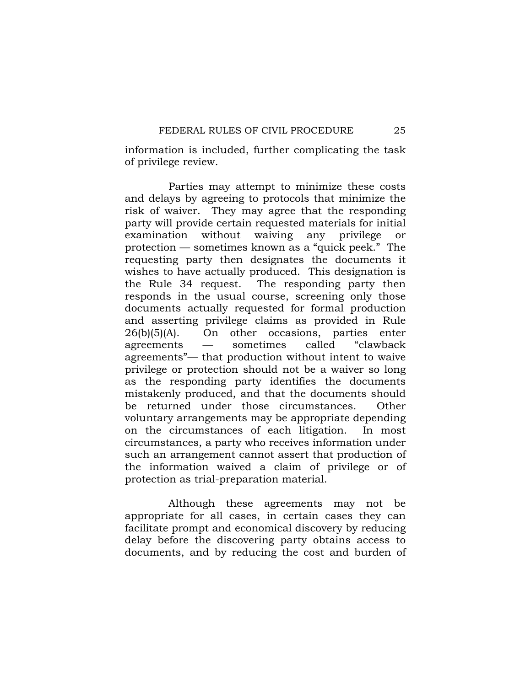information is included, further complicating the task of privilege review.

 Parties may attempt to minimize these costs and delays by agreeing to protocols that minimize the risk of waiver. They may agree that the responding party will provide certain requested materials for initial examination without waiving any privilege or protection — sometimes known as a "quick peek." The requesting party then designates the documents it wishes to have actually produced. This designation is the Rule 34 request. The responding party then responds in the usual course, screening only those documents actually requested for formal production and asserting privilege claims as provided in Rule 26(b)(5)(A). On other occasions, parties enter agreements — sometimes called "clawback agreements"— that production without intent to waive privilege or protection should not be a waiver so long as the responding party identifies the documents mistakenly produced, and that the documents should be returned under those circumstances. Other voluntary arrangements may be appropriate depending on the circumstances of each litigation. In most circumstances, a party who receives information under such an arrangement cannot assert that production of the information waived a claim of privilege or of protection as trial-preparation material.

 Although these agreements may not be appropriate for all cases, in certain cases they can facilitate prompt and economical discovery by reducing delay before the discovering party obtains access to documents, and by reducing the cost and burden of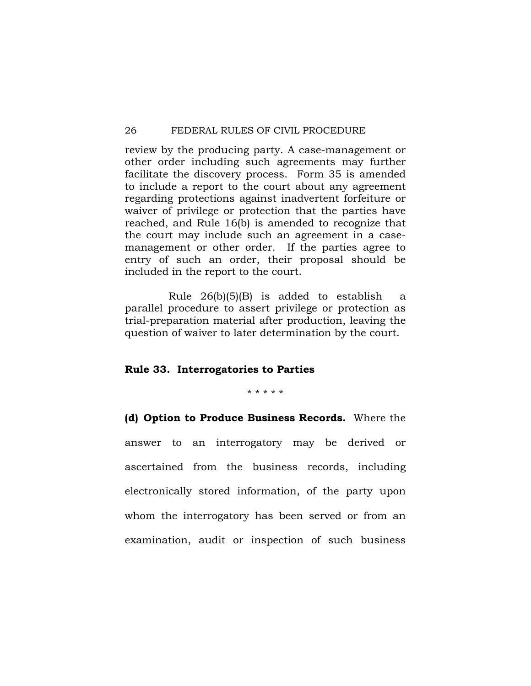review by the producing party. A case-management or other order including such agreements may further facilitate the discovery process. Form 35 is amended to include a report to the court about any agreement regarding protections against inadvertent forfeiture or waiver of privilege or protection that the parties have reached, and Rule 16(b) is amended to recognize that the court may include such an agreement in a casemanagement or other order. If the parties agree to entry of such an order, their proposal should be included in the report to the court.

 Rule 26(b)(5)(B) is added to establish a parallel procedure to assert privilege or protection as trial-preparation material after production, leaving the question of waiver to later determination by the court.

#### **Rule 33. Interrogatories to Parties**

\* \* \* \* \*

**(d) Option to Produce Business Records.** Where the answer to an interrogatory may be derived or ascertained from the business records, including electronically stored information, of the party upon whom the interrogatory has been served or from an examination, audit or inspection of such business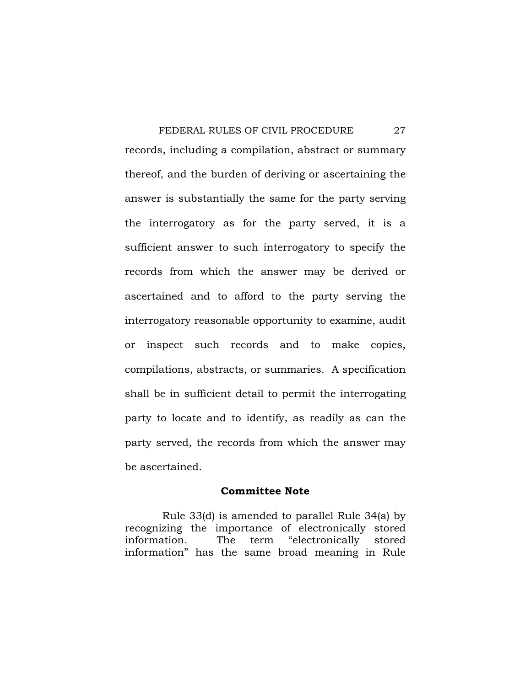FEDERAL RULES OF CIVIL PROCEDURE 27 records, including a compilation, abstract or summary thereof, and the burden of deriving or ascertaining the answer is substantially the same for the party serving the interrogatory as for the party served, it is a sufficient answer to such interrogatory to specify the records from which the answer may be derived or ascertained and to afford to the party serving the interrogatory reasonable opportunity to examine, audit or inspect such records and to make copies, compilations, abstracts, or summaries. A specification shall be in sufficient detail to permit the interrogating party to locate and to identify, as readily as can the party served, the records from which the answer may be ascertained.

## **Committee Note**

 Rule 33(d) is amended to parallel Rule 34(a) by recognizing the importance of electronically stored information. The term "electronically stored information" has the same broad meaning in Rule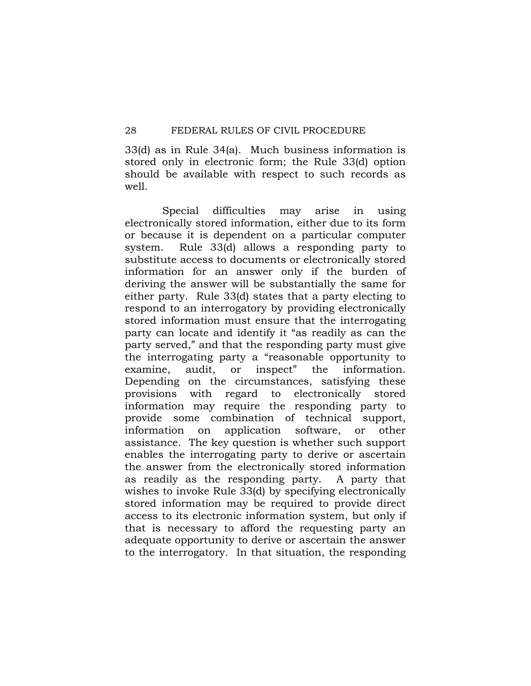33(d) as in Rule 34(a). Much business information is stored only in electronic form; the Rule 33(d) option should be available with respect to such records as well.

 Special difficulties may arise in using electronically stored information, either due to its form or because it is dependent on a particular computer system. Rule 33(d) allows a responding party to substitute access to documents or electronically stored information for an answer only if the burden of deriving the answer will be substantially the same for either party. Rule 33(d) states that a party electing to respond to an interrogatory by providing electronically stored information must ensure that the interrogating party can locate and identify it "as readily as can the party served," and that the responding party must give the interrogating party a "reasonable opportunity to examine, audit, or inspect" the information. Depending on the circumstances, satisfying these provisions with regard to electronically stored information may require the responding party to provide some combination of technical support, information on application software, or other assistance. The key question is whether such support enables the interrogating party to derive or ascertain the answer from the electronically stored information as readily as the responding party. A party that wishes to invoke Rule 33(d) by specifying electronically stored information may be required to provide direct access to its electronic information system, but only if that is necessary to afford the requesting party an adequate opportunity to derive or ascertain the answer to the interrogatory. In that situation, the responding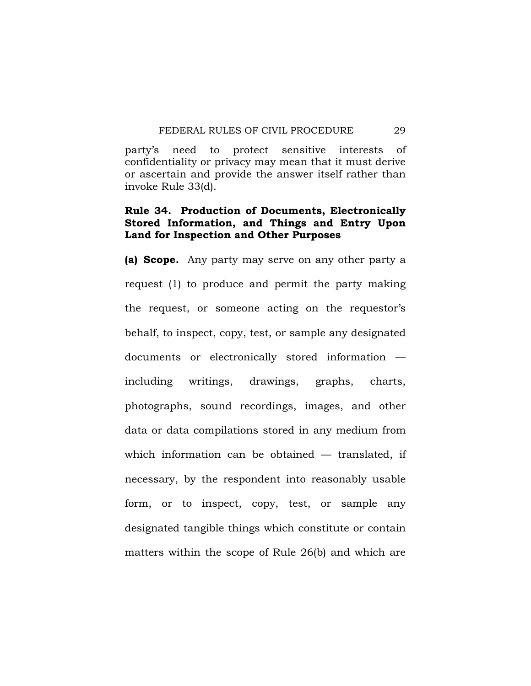party's need to protect sensitive interests of confidentiality or privacy may mean that it must derive or ascertain and provide the answer itself rather than invoke Rule 33(d).

# **Rule 34. Production of Documents, Electronically Stored Information, and Things and Entry Upon Land for Inspection and Other Purposes**

**(a) Scope.** Any party may serve on any other party a request (1) to produce and permit the party making the request, or someone acting on the requestor's behalf, to inspect, copy, test, or sample any designated documents or electronically stored information including writings, drawings, graphs, charts, photographs, sound recordings, images, and other data or data compilations stored in any medium from which information can be obtained — translated, if necessary, by the respondent into reasonably usable form, or to inspect, copy, test, or sample any designated tangible things which constitute or contain matters within the scope of Rule 26(b) and which are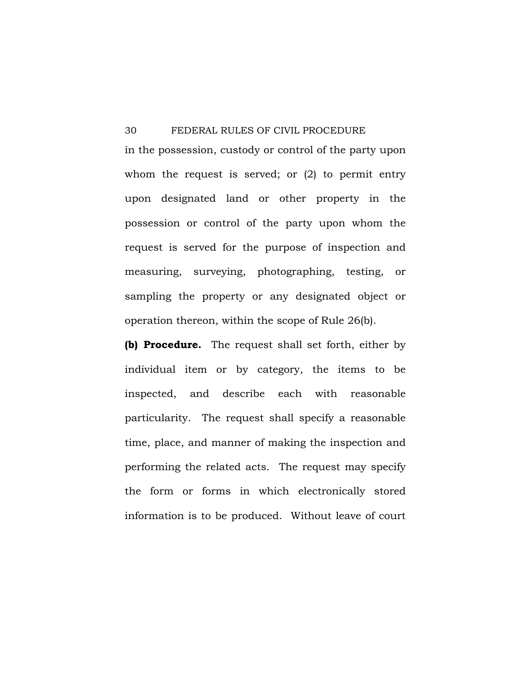in the possession, custody or control of the party upon whom the request is served; or (2) to permit entry upon designated land or other property in the possession or control of the party upon whom the request is served for the purpose of inspection and measuring, surveying, photographing, testing, or sampling the property or any designated object or operation thereon, within the scope of Rule 26(b).

**(b) Procedure.** The request shall set forth, either by individual item or by category, the items to be inspected, and describe each with reasonable particularity. The request shall specify a reasonable time, place, and manner of making the inspection and performing the related acts. The request may specify the form or forms in which electronically stored information is to be produced. Without leave of court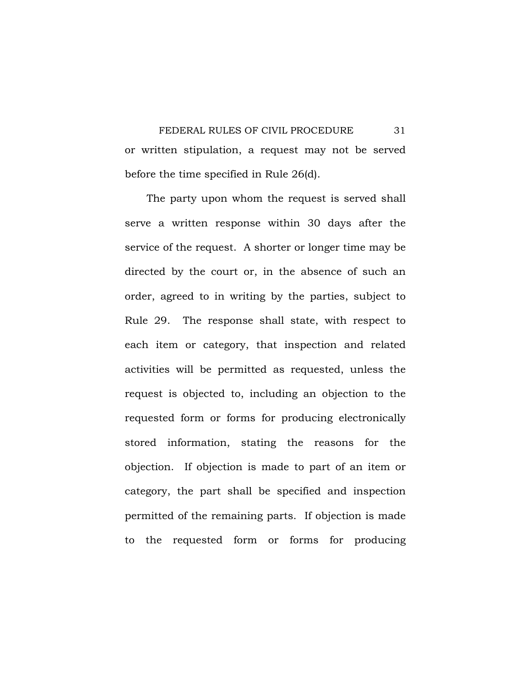FEDERAL RULES OF CIVIL PROCEDURE 31 or written stipulation, a request may not be served before the time specified in Rule 26(d).

 The party upon whom the request is served shall serve a written response within 30 days after the service of the request. A shorter or longer time may be directed by the court or, in the absence of such an order, agreed to in writing by the parties, subject to Rule 29. The response shall state, with respect to each item or category, that inspection and related activities will be permitted as requested, unless the request is objected to, including an objection to the requested form or forms for producing electronically stored information, stating the reasons for the objection. If objection is made to part of an item or category, the part shall be specified and inspection permitted of the remaining parts. If objection is made to the requested form or forms for producing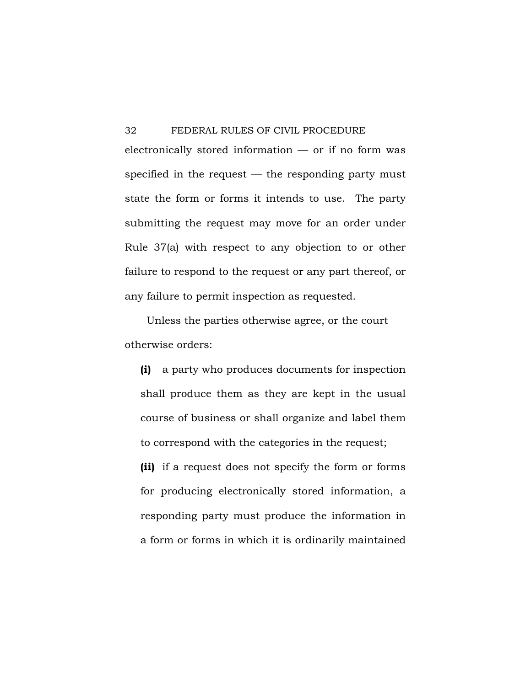$electronically stored information - or if no form was$ specified in the request  $-$  the responding party must state the form or forms it intends to use. The party submitting the request may move for an order under Rule 37(a) with respect to any objection to or other failure to respond to the request or any part thereof, or any failure to permit inspection as requested.

 Unless the parties otherwise agree, or the court otherwise orders:

**(i)** a party who produces documents for inspection shall produce them as they are kept in the usual course of business or shall organize and label them to correspond with the categories in the request;

**(ii)** if a request does not specify the form or forms for producing electronically stored information, a responding party must produce the information in a form or forms in which it is ordinarily maintained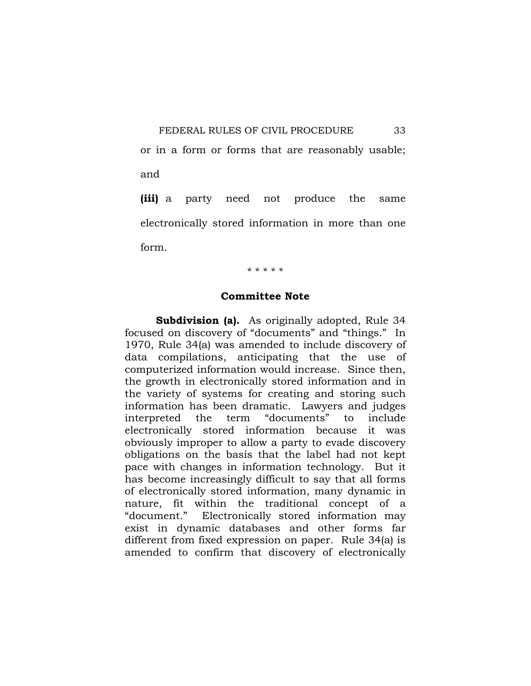or in a form or forms that are reasonably usable; and

**(iii)** a party need not produce the same electronically stored information in more than one form.

\* \* \* \* \*

## **Committee Note**

**Subdivision (a).** As originally adopted, Rule 34 focused on discovery of "documents" and "things." In 1970, Rule 34(a) was amended to include discovery of data compilations, anticipating that the use of computerized information would increase. Since then, the growth in electronically stored information and in the variety of systems for creating and storing such information has been dramatic. Lawyers and judges interpreted the term "documents" to include electronically stored information because it was obviously improper to allow a party to evade discovery obligations on the basis that the label had not kept pace with changes in information technology. But it has become increasingly difficult to say that all forms of electronically stored information, many dynamic in nature, fit within the traditional concept of a "document." Electronically stored information may exist in dynamic databases and other forms far different from fixed expression on paper. Rule 34(a) is amended to confirm that discovery of electronically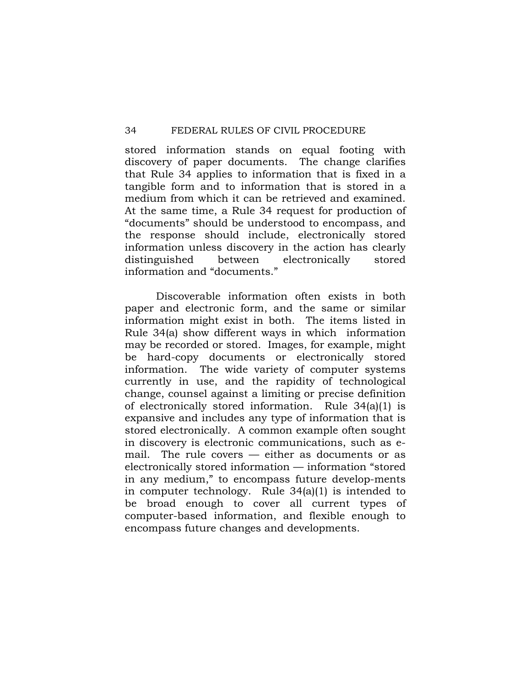stored information stands on equal footing with discovery of paper documents. The change clarifies that Rule 34 applies to information that is fixed in a tangible form and to information that is stored in a medium from which it can be retrieved and examined. At the same time, a Rule 34 request for production of "documents" should be understood to encompass, and the response should include, electronically stored information unless discovery in the action has clearly distinguished between electronically stored information and "documents."

 Discoverable information often exists in both paper and electronic form, and the same or similar information might exist in both. The items listed in Rule 34(a) show different ways in which information may be recorded or stored. Images, for example, might be hard-copy documents or electronically stored information. The wide variety of computer systems currently in use, and the rapidity of technological change, counsel against a limiting or precise definition of electronically stored information. Rule 34(a)(1) is expansive and includes any type of information that is stored electronically. A common example often sought in discovery is electronic communications, such as email. The rule covers — either as documents or as electronically stored information — information "stored in any medium," to encompass future develop-ments in computer technology. Rule 34(a)(1) is intended to be broad enough to cover all current types of computer-based information, and flexible enough to encompass future changes and developments.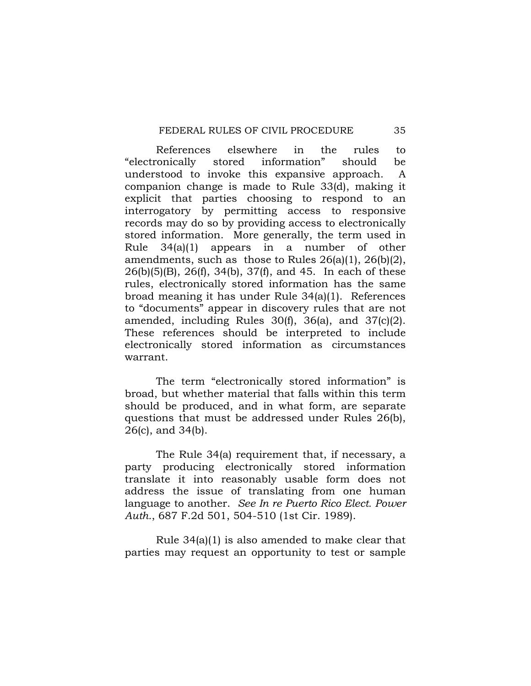References elsewhere in the rules to "electronically stored information" should be understood to invoke this expansive approach. A companion change is made to Rule 33(d), making it explicit that parties choosing to respond to an interrogatory by permitting access to responsive records may do so by providing access to electronically stored information. More generally, the term used in Rule 34(a)(1) appears in a number of other amendments, such as those to Rules 26(a)(1), 26(b)(2), 26(b)(5)(B), 26(f), 34(b), 37(f), and 45. In each of these rules, electronically stored information has the same broad meaning it has under Rule 34(a)(1). References to "documents" appear in discovery rules that are not amended, including Rules 30(f), 36(a), and 37(c)(2). These references should be interpreted to include electronically stored information as circumstances warrant.

 The term "electronically stored information" is broad, but whether material that falls within this term should be produced, and in what form, are separate questions that must be addressed under Rules 26(b), 26(c), and 34(b).

 The Rule 34(a) requirement that, if necessary, a party producing electronically stored information translate it into reasonably usable form does not address the issue of translating from one human language to another. *See In re Puerto Rico Elect. Power Auth.*, 687 F.2d 501, 504-510 (1st Cir. 1989).

 Rule 34(a)(1) is also amended to make clear that parties may request an opportunity to test or sample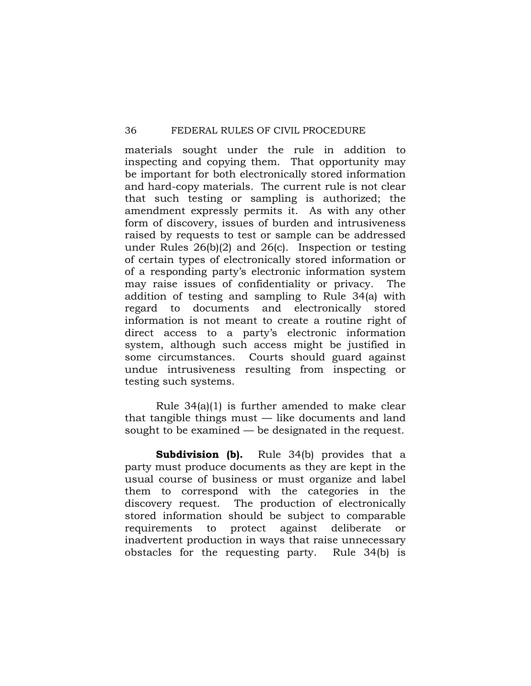materials sought under the rule in addition to inspecting and copying them. That opportunity may be important for both electronically stored information and hard-copy materials. The current rule is not clear that such testing or sampling is authorized; the amendment expressly permits it. As with any other form of discovery, issues of burden and intrusiveness raised by requests to test or sample can be addressed under Rules 26(b)(2) and 26(c). Inspection or testing of certain types of electronically stored information or of a responding party's electronic information system may raise issues of confidentiality or privacy. The addition of testing and sampling to Rule 34(a) with regard to documents and electronically stored information is not meant to create a routine right of direct access to a party's electronic information system, although such access might be justified in some circumstances. Courts should guard against undue intrusiveness resulting from inspecting or testing such systems.

 Rule 34(a)(1) is further amended to make clear that tangible things must — like documents and land sought to be examined — be designated in the request.

**Subdivision (b).** Rule 34(b) provides that a party must produce documents as they are kept in the usual course of business or must organize and label them to correspond with the categories in the discovery request. The production of electronically stored information should be subject to comparable requirements to protect against deliberate or inadvertent production in ways that raise unnecessary obstacles for the requesting party. Rule 34(b) is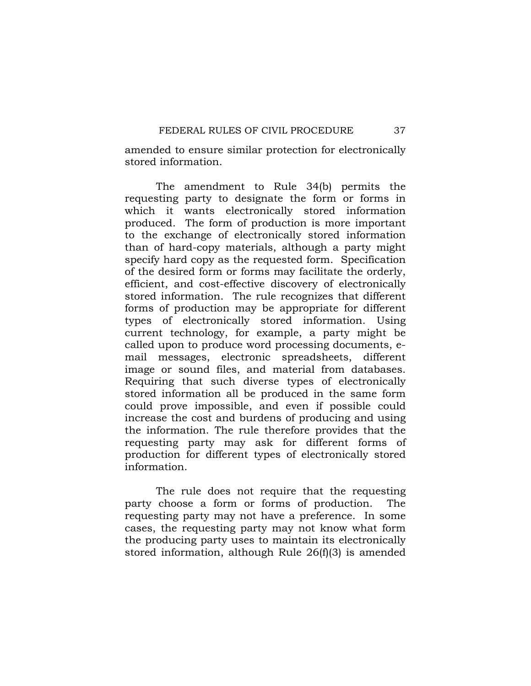amended to ensure similar protection for electronically stored information.

 The amendment to Rule 34(b) permits the requesting party to designate the form or forms in which it wants electronically stored information produced. The form of production is more important to the exchange of electronically stored information than of hard-copy materials, although a party might specify hard copy as the requested form. Specification of the desired form or forms may facilitate the orderly, efficient, and cost-effective discovery of electronically stored information. The rule recognizes that different forms of production may be appropriate for different types of electronically stored information. Using current technology, for example, a party might be called upon to produce word processing documents, email messages, electronic spreadsheets, different image or sound files, and material from databases. Requiring that such diverse types of electronically stored information all be produced in the same form could prove impossible, and even if possible could increase the cost and burdens of producing and using the information. The rule therefore provides that the requesting party may ask for different forms of production for different types of electronically stored information.

 The rule does not require that the requesting party choose a form or forms of production. The requesting party may not have a preference. In some cases, the requesting party may not know what form the producing party uses to maintain its electronically stored information, although Rule 26(f)(3) is amended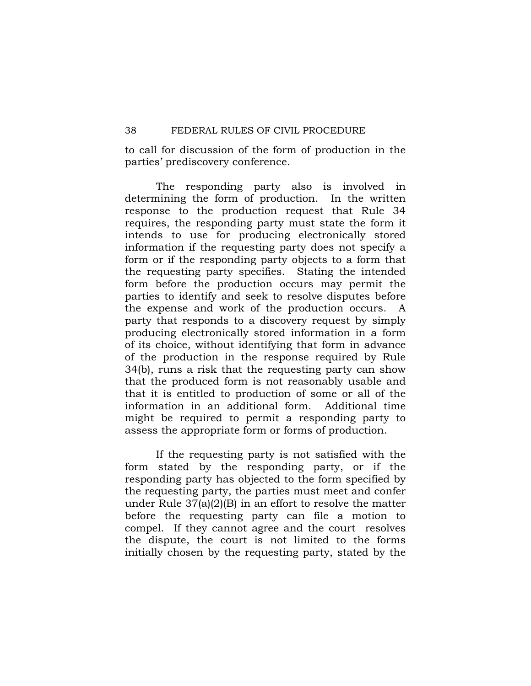to call for discussion of the form of production in the parties' prediscovery conference.

 The responding party also is involved in determining the form of production. In the written response to the production request that Rule 34 requires, the responding party must state the form it intends to use for producing electronically stored information if the requesting party does not specify a form or if the responding party objects to a form that the requesting party specifies. Stating the intended form before the production occurs may permit the parties to identify and seek to resolve disputes before the expense and work of the production occurs. A party that responds to a discovery request by simply producing electronically stored information in a form of its choice, without identifying that form in advance of the production in the response required by Rule 34(b), runs a risk that the requesting party can show that the produced form is not reasonably usable and that it is entitled to production of some or all of the information in an additional form. Additional time might be required to permit a responding party to assess the appropriate form or forms of production.

 If the requesting party is not satisfied with the form stated by the responding party, or if the responding party has objected to the form specified by the requesting party, the parties must meet and confer under Rule 37(a)(2)(B) in an effort to resolve the matter before the requesting party can file a motion to compel. If they cannot agree and the court resolves the dispute, the court is not limited to the forms initially chosen by the requesting party, stated by the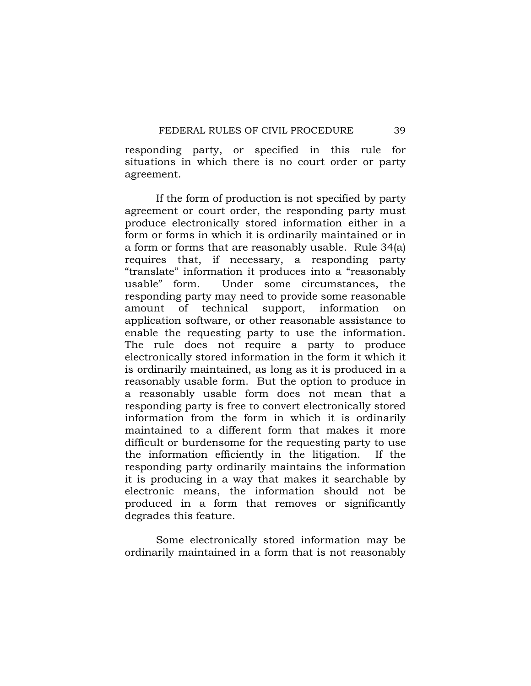responding party, or specified in this rule for situations in which there is no court order or party agreement.

 If the form of production is not specified by party agreement or court order, the responding party must produce electronically stored information either in a form or forms in which it is ordinarily maintained or in a form or forms that are reasonably usable. Rule 34(a) requires that, if necessary, a responding party "translate" information it produces into a "reasonably usable" form. Under some circumstances, the responding party may need to provide some reasonable amount of technical support, information on application software, or other reasonable assistance to enable the requesting party to use the information. The rule does not require a party to produce electronically stored information in the form it which it is ordinarily maintained, as long as it is produced in a reasonably usable form. But the option to produce in a reasonably usable form does not mean that a responding party is free to convert electronically stored information from the form in which it is ordinarily maintained to a different form that makes it more difficult or burdensome for the requesting party to use the information efficiently in the litigation. If the responding party ordinarily maintains the information it is producing in a way that makes it searchable by electronic means, the information should not be produced in a form that removes or significantly degrades this feature.

 Some electronically stored information may be ordinarily maintained in a form that is not reasonably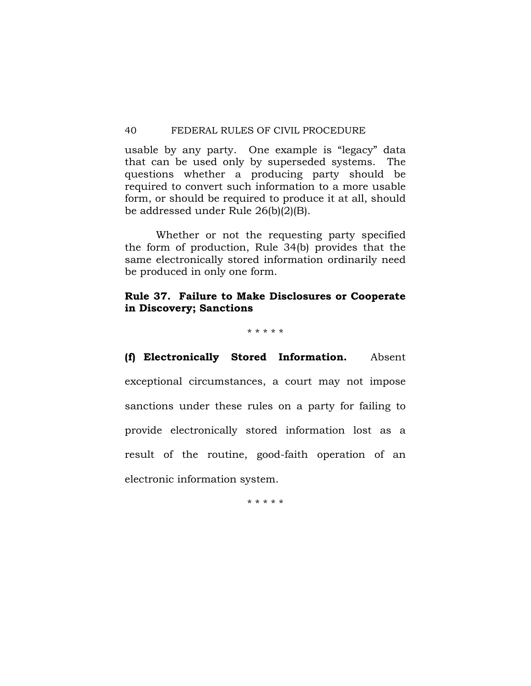usable by any party. One example is "legacy" data that can be used only by superseded systems. The questions whether a producing party should be required to convert such information to a more usable form, or should be required to produce it at all, should be addressed under Rule 26(b)(2)(B).

 Whether or not the requesting party specified the form of production, Rule 34(b) provides that the same electronically stored information ordinarily need be produced in only one form.

# **Rule 37. Failure to Make Disclosures or Cooperate in Discovery; Sanctions**

\* \* \* \* \*

**(f) Electronically Stored Information.** Absent exceptional circumstances, a court may not impose sanctions under these rules on a party for failing to provide electronically stored information lost as a result of the routine, good-faith operation of an electronic information system.

\* \* \* \* \*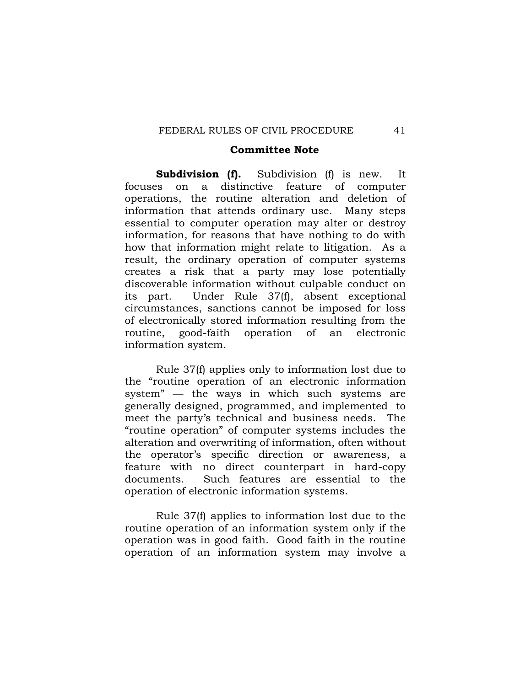#### **Committee Note**

**Subdivision (f).** Subdivision (f) is new. It focuses on a distinctive feature of computer operations, the routine alteration and deletion of information that attends ordinary use. Many steps essential to computer operation may alter or destroy information, for reasons that have nothing to do with how that information might relate to litigation. As a result, the ordinary operation of computer systems creates a risk that a party may lose potentially discoverable information without culpable conduct on its part. Under Rule 37(f), absent exceptional circumstances, sanctions cannot be imposed for loss of electronically stored information resulting from the routine, good-faith operation of an electronic information system.

 Rule 37(f) applies only to information lost due to the "routine operation of an electronic information system" — the ways in which such systems are generally designed, programmed, and implemented to meet the party's technical and business needs. The "routine operation" of computer systems includes the alteration and overwriting of information, often without the operator's specific direction or awareness, a feature with no direct counterpart in hard-copy documents. Such features are essential to the operation of electronic information systems.

 Rule 37(f) applies to information lost due to the routine operation of an information system only if the operation was in good faith. Good faith in the routine operation of an information system may involve a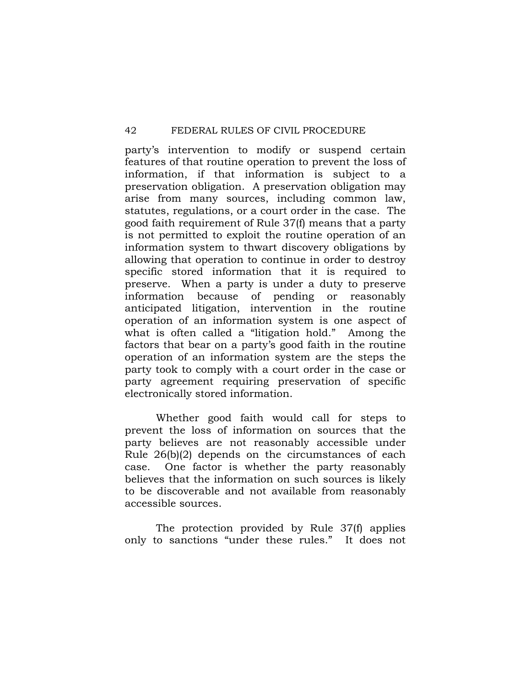party's intervention to modify or suspend certain features of that routine operation to prevent the loss of information, if that information is subject to a preservation obligation. A preservation obligation may arise from many sources, including common law, statutes, regulations, or a court order in the case. The good faith requirement of Rule 37(f) means that a party is not permitted to exploit the routine operation of an information system to thwart discovery obligations by allowing that operation to continue in order to destroy specific stored information that it is required to preserve. When a party is under a duty to preserve information because of pending or reasonably anticipated litigation, intervention in the routine operation of an information system is one aspect of what is often called a "litigation hold." Among the factors that bear on a party's good faith in the routine operation of an information system are the steps the party took to comply with a court order in the case or party agreement requiring preservation of specific electronically stored information.

 Whether good faith would call for steps to prevent the loss of information on sources that the party believes are not reasonably accessible under Rule 26(b)(2) depends on the circumstances of each case. One factor is whether the party reasonably believes that the information on such sources is likely to be discoverable and not available from reasonably accessible sources.

 The protection provided by Rule 37(f) applies only to sanctions "under these rules." It does not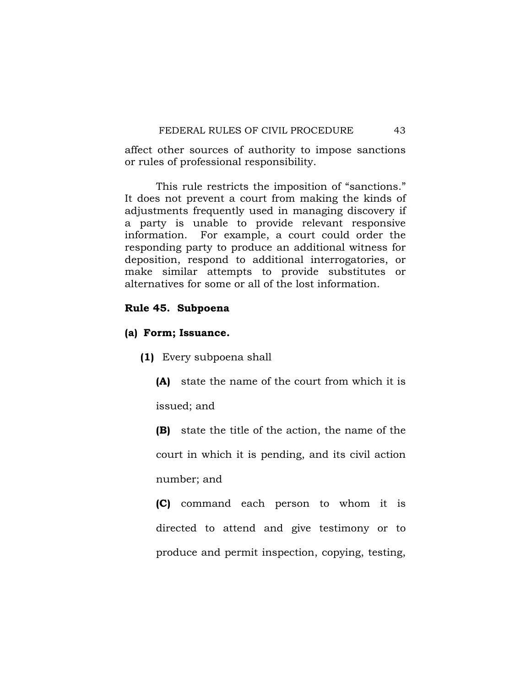affect other sources of authority to impose sanctions or rules of professional responsibility.

 This rule restricts the imposition of "sanctions." It does not prevent a court from making the kinds of adjustments frequently used in managing discovery if a party is unable to provide relevant responsive information. For example, a court could order the responding party to produce an additional witness for deposition, respond to additional interrogatories, or make similar attempts to provide substitutes or alternatives for some or all of the lost information.

# **Rule 45. Subpoena**

## **(a) Form; Issuance.**

**(1)** Every subpoena shall

**(A)** state the name of the court from which it is issued; and

**(B)** state the title of the action, the name of the court in which it is pending, and its civil action number; and

**(C)** command each person to whom it is directed to attend and give testimony or to produce and permit inspection, copying, testing,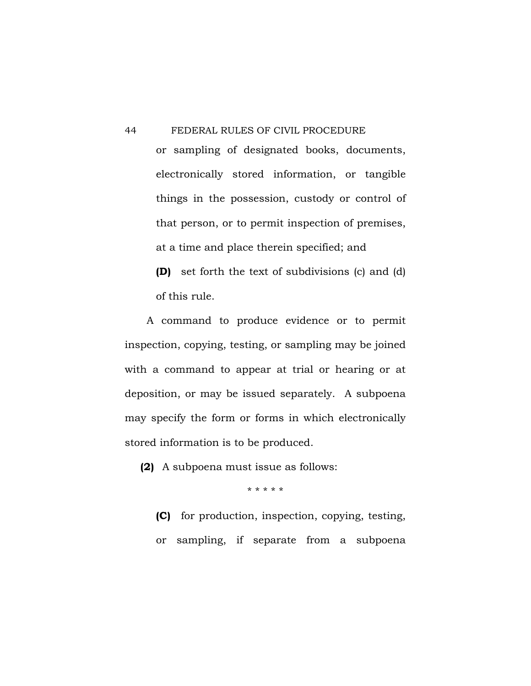or sampling of designated books, documents, electronically stored information, or tangible things in the possession, custody or control of that person, or to permit inspection of premises, at a time and place therein specified; and

**(D)** set forth the text of subdivisions (c) and (d) of this rule.

 A command to produce evidence or to permit inspection, copying, testing, or sampling may be joined with a command to appear at trial or hearing or at deposition, or may be issued separately. A subpoena may specify the form or forms in which electronically stored information is to be produced.

**(2)** A subpoena must issue as follows:

\* \* \* \* \*

**(C)** for production, inspection, copying, testing, or sampling, if separate from a subpoena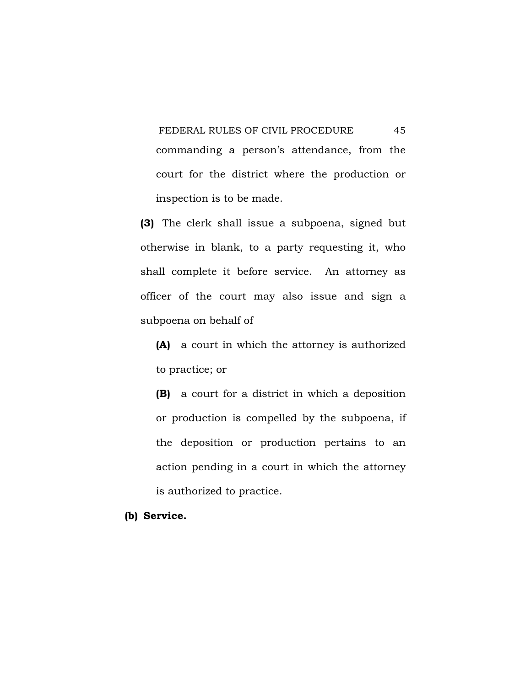FEDERAL RULES OF CIVIL PROCEDURE 45 commanding a person's attendance, from the court for the district where the production or inspection is to be made.

**(3)** The clerk shall issue a subpoena, signed but otherwise in blank, to a party requesting it, who shall complete it before service. An attorney as officer of the court may also issue and sign a subpoena on behalf of

**(A)** a court in which the attorney is authorized to practice; or

**(B)** a court for a district in which a deposition or production is compelled by the subpoena, if the deposition or production pertains to an action pending in a court in which the attorney is authorized to practice.

## **(b) Service.**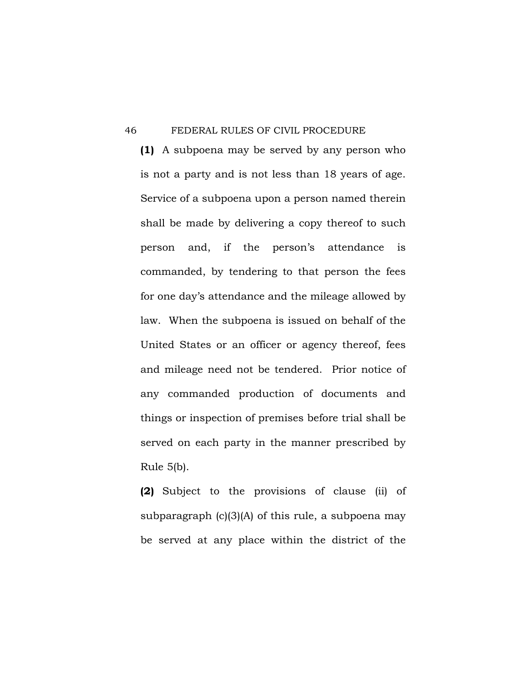**(1)** A subpoena may be served by any person who is not a party and is not less than 18 years of age. Service of a subpoena upon a person named therein shall be made by delivering a copy thereof to such person and, if the person's attendance is commanded, by tendering to that person the fees for one day's attendance and the mileage allowed by law. When the subpoena is issued on behalf of the United States or an officer or agency thereof, fees and mileage need not be tendered. Prior notice of any commanded production of documents and things or inspection of premises before trial shall be served on each party in the manner prescribed by Rule 5(b).

**(2)** Subject to the provisions of clause (ii) of subparagraph  $(c)(3)(A)$  of this rule, a subpoena may be served at any place within the district of the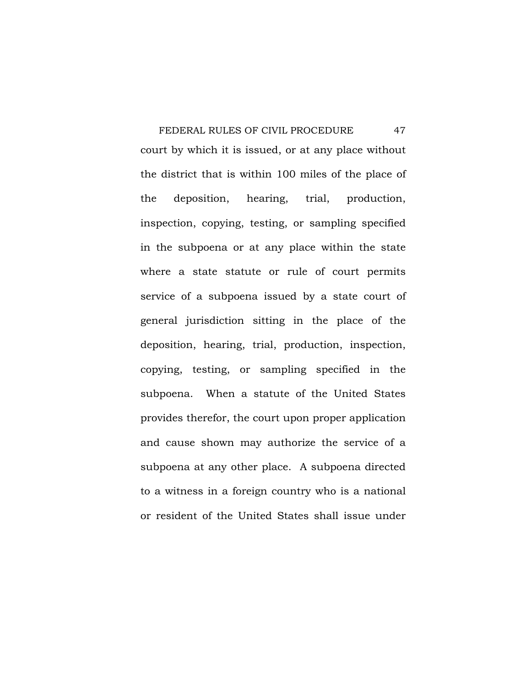FEDERAL RULES OF CIVIL PROCEDURE 47 court by which it is issued, or at any place without the district that is within 100 miles of the place of the deposition, hearing, trial, production, inspection, copying, testing, or sampling specified in the subpoena or at any place within the state where a state statute or rule of court permits service of a subpoena issued by a state court of general jurisdiction sitting in the place of the deposition, hearing, trial, production, inspection, copying, testing, or sampling specified in the subpoena. When a statute of the United States provides therefor, the court upon proper application and cause shown may authorize the service of a subpoena at any other place. A subpoena directed to a witness in a foreign country who is a national or resident of the United States shall issue under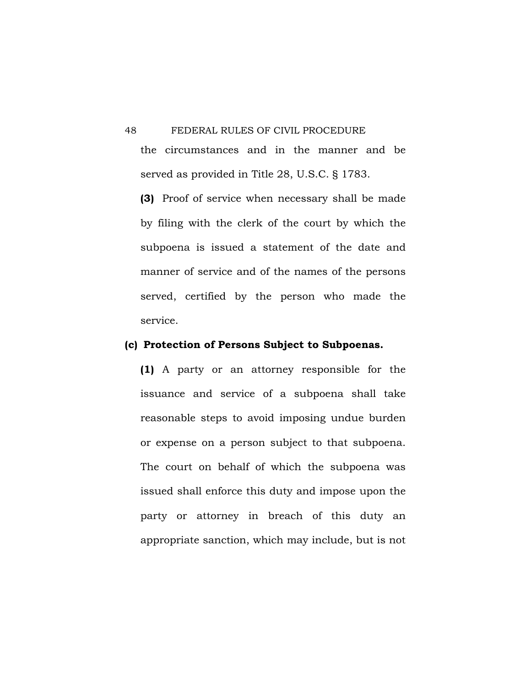the circumstances and in the manner and be served as provided in Title 28, U.S.C. § 1783.

**(3)** Proof of service when necessary shall be made by filing with the clerk of the court by which the subpoena is issued a statement of the date and manner of service and of the names of the persons served, certified by the person who made the service.

# **(c) Protection of Persons Subject to Subpoenas.**

**(1)** A party or an attorney responsible for the issuance and service of a subpoena shall take reasonable steps to avoid imposing undue burden or expense on a person subject to that subpoena. The court on behalf of which the subpoena was issued shall enforce this duty and impose upon the party or attorney in breach of this duty an appropriate sanction, which may include, but is not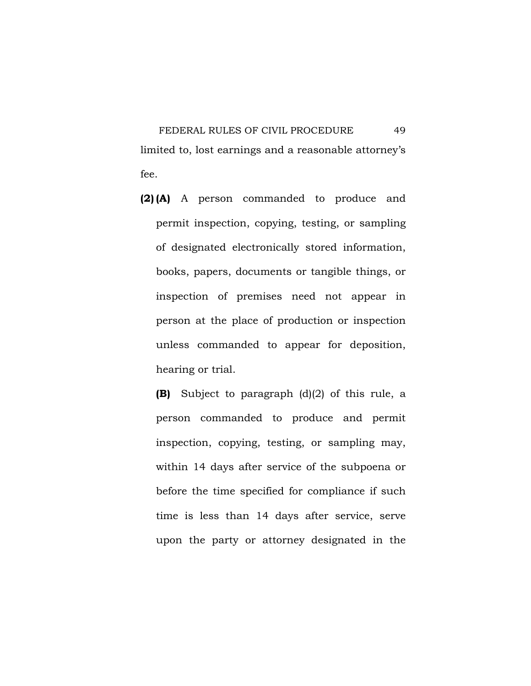FEDERAL RULES OF CIVIL PROCEDURE 49 limited to, lost earnings and a reasonable attorney's fee.

**(2) (A)** A person commanded to produce and permit inspection, copying, testing, or sampling of designated electronically stored information, books, papers, documents or tangible things, or inspection of premises need not appear in person at the place of production or inspection unless commanded to appear for deposition, hearing or trial.

**(B)** Subject to paragraph (d)(2) of this rule, a person commanded to produce and permit inspection, copying, testing, or sampling may, within 14 days after service of the subpoena or before the time specified for compliance if such time is less than 14 days after service, serve upon the party or attorney designated in the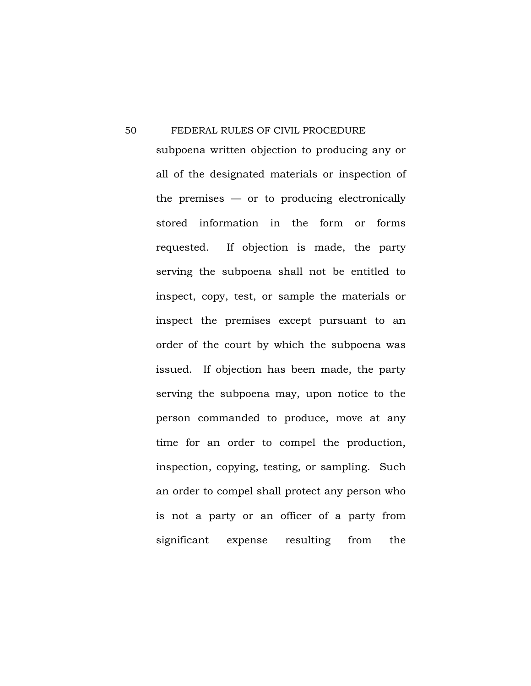subpoena written objection to producing any or all of the designated materials or inspection of the premises  $-$  or to producing electronically stored information in the form or forms requested. If objection is made, the party serving the subpoena shall not be entitled to inspect, copy, test, or sample the materials or inspect the premises except pursuant to an order of the court by which the subpoena was issued. If objection has been made, the party serving the subpoena may, upon notice to the person commanded to produce, move at any time for an order to compel the production, inspection, copying, testing, or sampling. Such an order to compel shall protect any person who is not a party or an officer of a party from significant expense resulting from the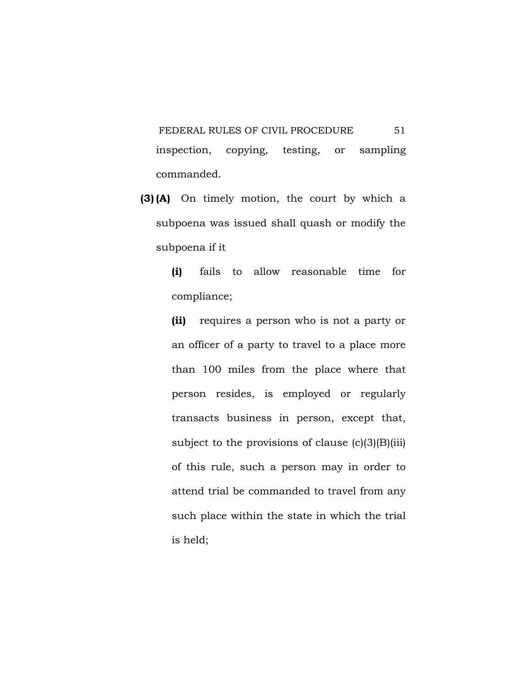FEDERAL RULES OF CIVIL PROCEDURE 51 inspection, copying, testing, or sampling commanded.

**(3) (A)** On timely motion, the court by which a subpoena was issued shall quash or modify the subpoena if it

> **(i)** fails to allow reasonable time for compliance;

> **(ii)** requires a person who is not a party or an officer of a party to travel to a place more than 100 miles from the place where that person resides, is employed or regularly transacts business in person, except that, subject to the provisions of clause  $(c)(3)(B)(iii)$ of this rule, such a person may in order to attend trial be commanded to travel from any such place within the state in which the trial is held;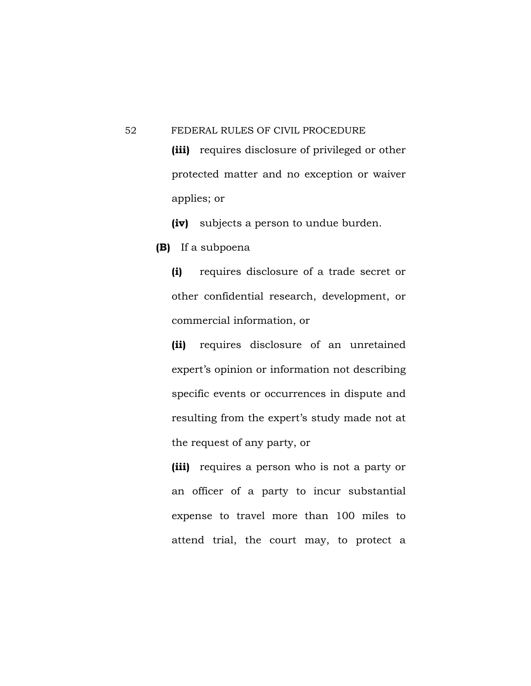**(iii)** requires disclosure of privileged or other protected matter and no exception or waiver applies; or

**(iv)** subjects a person to undue burden.

**(B)** If a subpoena

**(i)** requires disclosure of a trade secret or other confidential research, development, or commercial information, or

**(ii)** requires disclosure of an unretained expert's opinion or information not describing specific events or occurrences in dispute and resulting from the expert's study made not at the request of any party, or

**(iii)** requires a person who is not a party or an officer of a party to incur substantial expense to travel more than 100 miles to attend trial, the court may, to protect a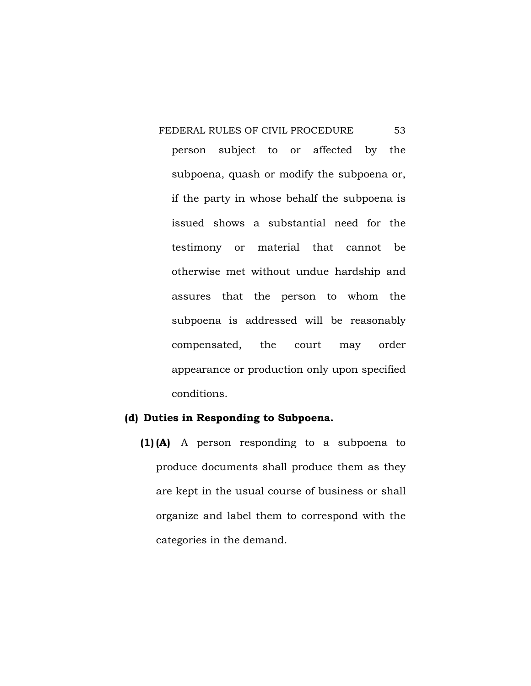FEDERAL RULES OF CIVIL PROCEDURE 53 person subject to or affected by the subpoena, quash or modify the subpoena or, if the party in whose behalf the subpoena is issued shows a substantial need for the testimony or material that cannot be otherwise met without undue hardship and assures that the person to whom the subpoena is addressed will be reasonably compensated, the court may order appearance or production only upon specified conditions.

## **(d) Duties in Responding to Subpoena.**

**(1) (A)** A person responding to a subpoena to produce documents shall produce them as they are kept in the usual course of business or shall organize and label them to correspond with the categories in the demand.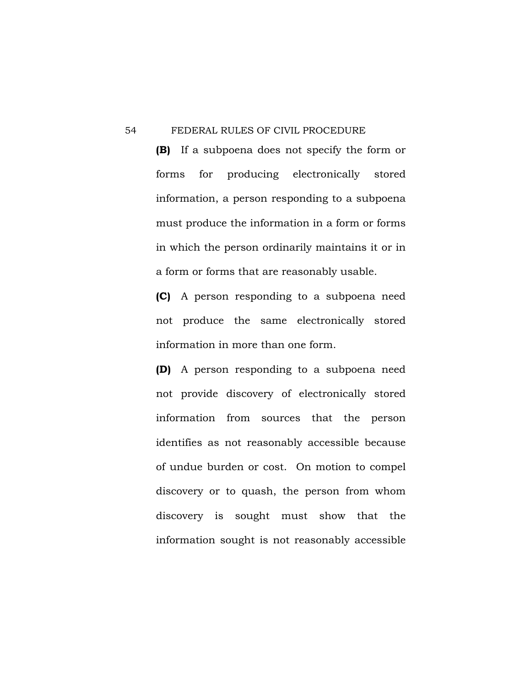**(B)** If a subpoena does not specify the form or forms for producing electronically stored information, a person responding to a subpoena must produce the information in a form or forms in which the person ordinarily maintains it or in a form or forms that are reasonably usable.

**(C)** A person responding to a subpoena need not produce the same electronically stored information in more than one form.

**(D)** A person responding to a subpoena need not provide discovery of electronically stored information from sources that the person identifies as not reasonably accessible because of undue burden or cost. On motion to compel discovery or to quash, the person from whom discovery is sought must show that the information sought is not reasonably accessible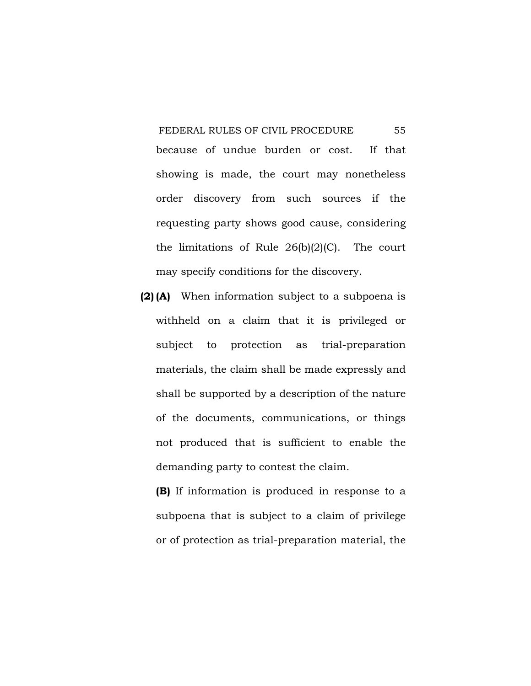FEDERAL RULES OF CIVIL PROCEDURE 55 because of undue burden or cost. If that showing is made, the court may nonetheless order discovery from such sources if the requesting party shows good cause, considering the limitations of Rule  $26(b)(2)(C)$ . The court may specify conditions for the discovery.

**(2) (A)** When information subject to a subpoena is withheld on a claim that it is privileged or subject to protection as trial-preparation materials, the claim shall be made expressly and shall be supported by a description of the nature of the documents, communications, or things not produced that is sufficient to enable the demanding party to contest the claim.

**(B)** If information is produced in response to a subpoena that is subject to a claim of privilege or of protection as trial-preparation material, the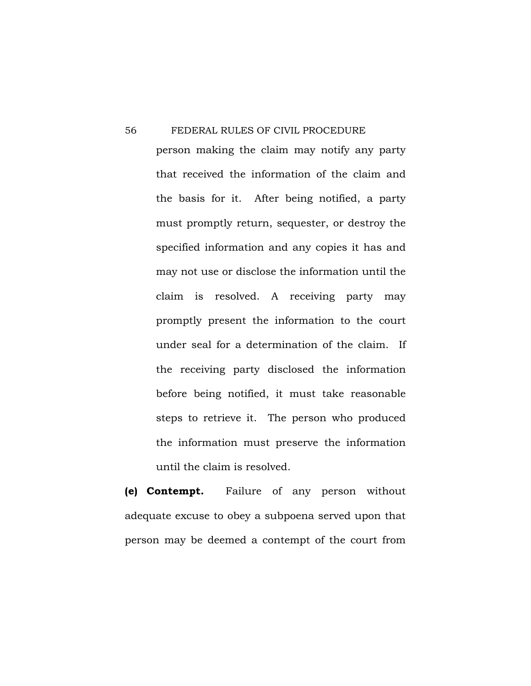person making the claim may notify any party that received the information of the claim and the basis for it. After being notified, a party must promptly return, sequester, or destroy the specified information and any copies it has and may not use or disclose the information until the claim is resolved. A receiving party may promptly present the information to the court under seal for a determination of the claim. If the receiving party disclosed the information before being notified, it must take reasonable steps to retrieve it. The person who produced the information must preserve the information until the claim is resolved.

**(e) Contempt.** Failure of any person without adequate excuse to obey a subpoena served upon that person may be deemed a contempt of the court from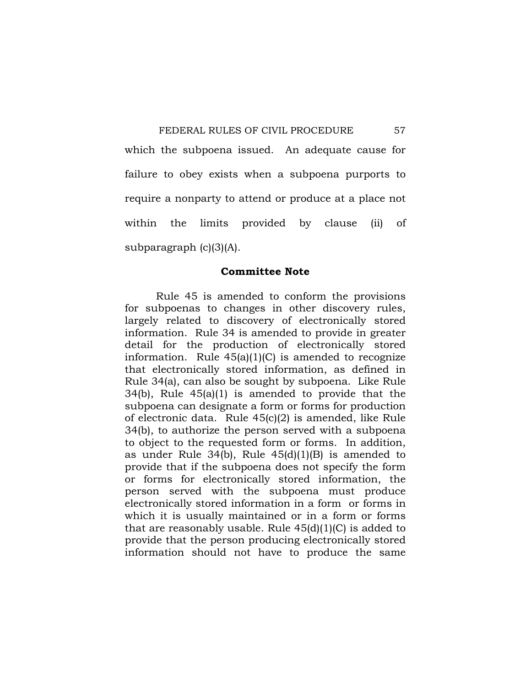which the subpoena issued. An adequate cause for failure to obey exists when a subpoena purports to require a nonparty to attend or produce at a place not within the limits provided by clause (ii) of subparagraph (c)(3)(A).

## **Committee Note**

 Rule 45 is amended to conform the provisions for subpoenas to changes in other discovery rules, largely related to discovery of electronically stored information. Rule 34 is amended to provide in greater detail for the production of electronically stored information. Rule  $45(a)(1)(C)$  is amended to recognize that electronically stored information, as defined in Rule 34(a), can also be sought by subpoena. Like Rule 34(b), Rule 45(a)(1) is amended to provide that the subpoena can designate a form or forms for production of electronic data. Rule 45(c)(2) is amended, like Rule 34(b), to authorize the person served with a subpoena to object to the requested form or forms. In addition, as under Rule 34(b), Rule 45(d)(1)(B) is amended to provide that if the subpoena does not specify the form or forms for electronically stored information, the person served with the subpoena must produce electronically stored information in a form or forms in which it is usually maintained or in a form or forms that are reasonably usable. Rule  $45(d)(1)(C)$  is added to provide that the person producing electronically stored information should not have to produce the same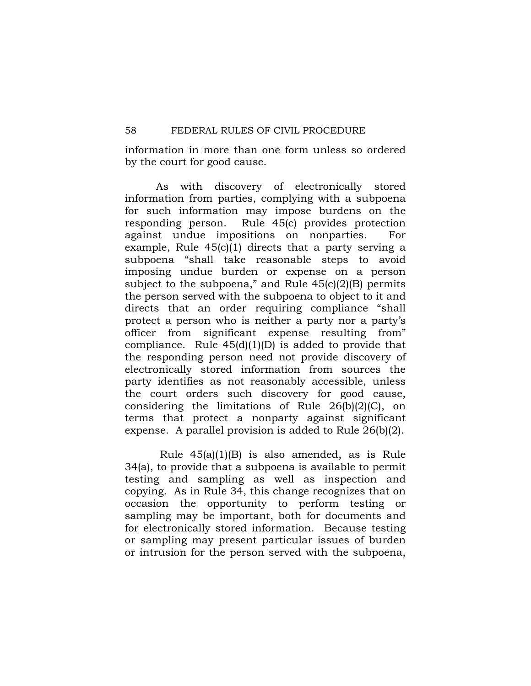information in more than one form unless so ordered by the court for good cause.

 As with discovery of electronically stored information from parties, complying with a subpoena for such information may impose burdens on the responding person. Rule 45(c) provides protection against undue impositions on nonparties. For example, Rule 45(c)(1) directs that a party serving a subpoena "shall take reasonable steps to avoid imposing undue burden or expense on a person subject to the subpoena," and Rule  $45(c)(2)(B)$  permits the person served with the subpoena to object to it and directs that an order requiring compliance "shall protect a person who is neither a party nor a party's officer from significant expense resulting from" compliance. Rule  $45(d)(1)(D)$  is added to provide that the responding person need not provide discovery of electronically stored information from sources the party identifies as not reasonably accessible, unless the court orders such discovery for good cause, considering the limitations of Rule 26(b)(2)(C), on terms that protect a nonparty against significant expense. A parallel provision is added to Rule 26(b)(2).

 Rule 45(a)(1)(B) is also amended, as is Rule 34(a), to provide that a subpoena is available to permit testing and sampling as well as inspection and copying. As in Rule 34, this change recognizes that on occasion the opportunity to perform testing or sampling may be important, both for documents and for electronically stored information. Because testing or sampling may present particular issues of burden or intrusion for the person served with the subpoena,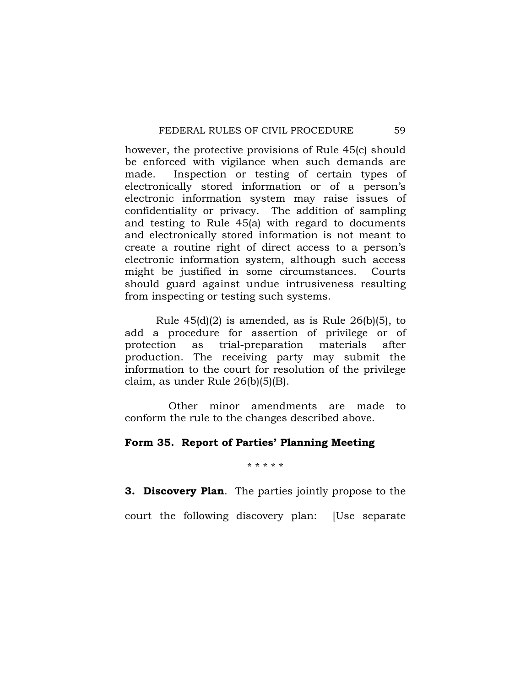however, the protective provisions of Rule 45(c) should be enforced with vigilance when such demands are made. Inspection or testing of certain types of electronically stored information or of a person's electronic information system may raise issues of confidentiality or privacy. The addition of sampling and testing to Rule 45(a) with regard to documents and electronically stored information is not meant to create a routine right of direct access to a person's electronic information system, although such access might be justified in some circumstances. Courts should guard against undue intrusiveness resulting from inspecting or testing such systems.

Rule  $45(d)(2)$  is amended, as is Rule  $26(b)(5)$ , to add a procedure for assertion of privilege or of protection as trial-preparation materials after production. The receiving party may submit the information to the court for resolution of the privilege claim, as under Rule 26(b)(5)(B).

 Other minor amendments are made to conform the rule to the changes described above.

# **Form 35. Report of Parties' Planning Meeting**

\* \* \* \* \*

**3. Discovery Plan**. The parties jointly propose to the

court the following discovery plan: [Use separate